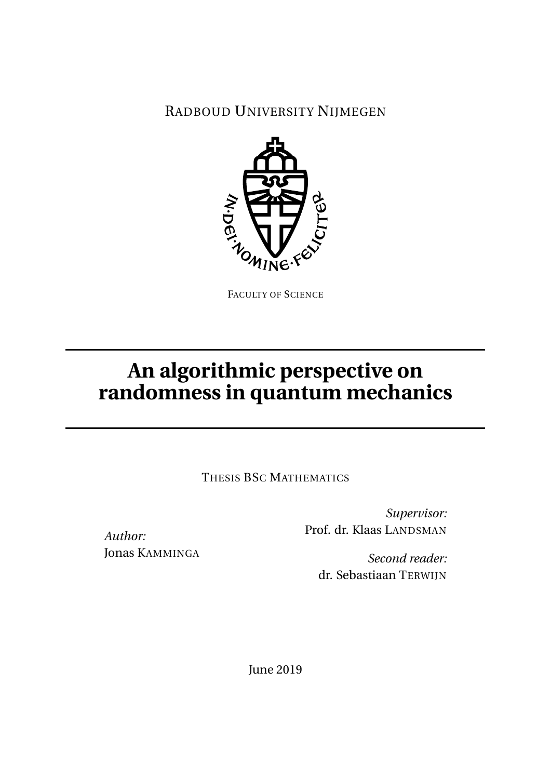## RADBOUD UNIVERSITY NIJMEGEN



FACULTY OF SCIENCE

# **An algorithmic perspective on randomness in quantum mechanics**

THESIS BSC MATHEMATICS

Jonas KAMMINGA

*Author:*

*Supervisor:* Prof. dr. Klaas LANDSMAN

*Second reader:* dr. Sebastiaan TERWIJN

June 2019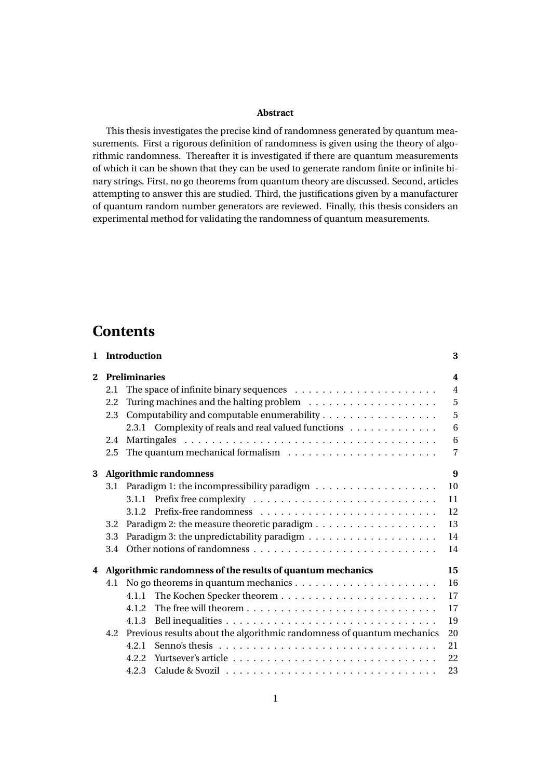#### **Abstract**

This thesis investigates the precise kind of randomness generated by quantum measurements. First a rigorous definition of randomness is given using the theory of algorithmic randomness. Thereafter it is investigated if there are quantum measurements of which it can be shown that they can be used to generate random finite or infinite binary strings. First, no go theorems from quantum theory are discussed. Second, articles attempting to answer this are studied. Third, the justifications given by a manufacturer of quantum random number generators are reviewed. Finally, this thesis considers an experimental method for validating the randomness of quantum measurements.

## **Contents**

| $\mathbf{1}$ |     | Introduction                                                           | 3              |
|--------------|-----|------------------------------------------------------------------------|----------------|
| $\mathbf{2}$ |     | <b>Preliminaries</b>                                                   | 4              |
|              | 2.1 |                                                                        | $\overline{4}$ |
|              | 2.2 |                                                                        | 5              |
|              | 2.3 | Computability and computable enumerability                             | 5              |
|              |     | 2.3.1 Complexity of reals and real valued functions                    | 6              |
|              | 2.4 |                                                                        | 6              |
|              | 2.5 |                                                                        | 7              |
| 3            |     | <b>Algorithmic randomness</b>                                          | 9              |
|              | 3.1 |                                                                        | 10             |
|              |     |                                                                        | 11             |
|              |     |                                                                        | 12             |
|              | 3.2 |                                                                        | 13             |
|              | 3.3 |                                                                        | 14             |
|              | 3.4 |                                                                        | 14             |
| 4            |     | Algorithmic randomness of the results of quantum mechanics             | 15             |
|              | 4.1 |                                                                        | 16             |
|              |     | 4.1.1                                                                  | 17             |
|              |     | 4.1.2                                                                  | 17             |
|              |     | 4.1.3                                                                  | 19             |
|              | 4.2 | Previous results about the algorithmic randomness of quantum mechanics | 20             |
|              |     | 4.2.1                                                                  | 21             |
|              |     | 4.2.2                                                                  | 22             |
|              |     | 4.2.3                                                                  | 23             |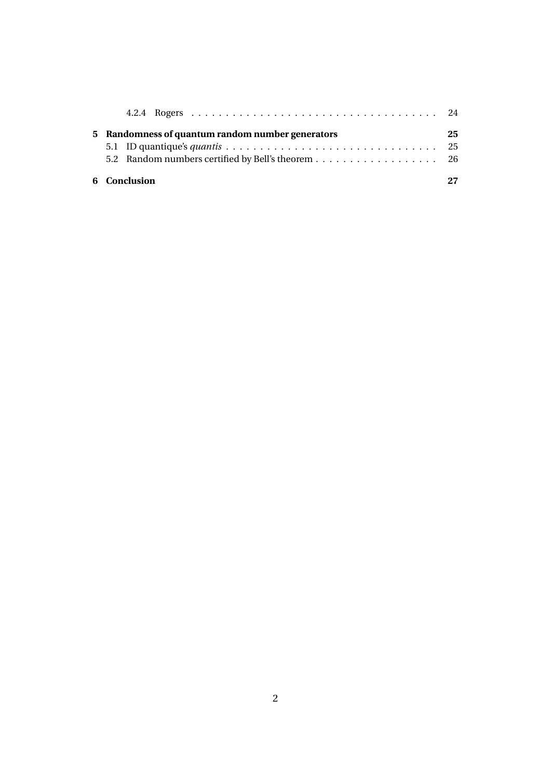| 6 Conclusion                                      |    |
|---------------------------------------------------|----|
| 5.2 Random numbers certified by Bell's theorem 26 |    |
|                                                   |    |
| 5 Randomness of quantum random number generators  | 25 |
|                                                   |    |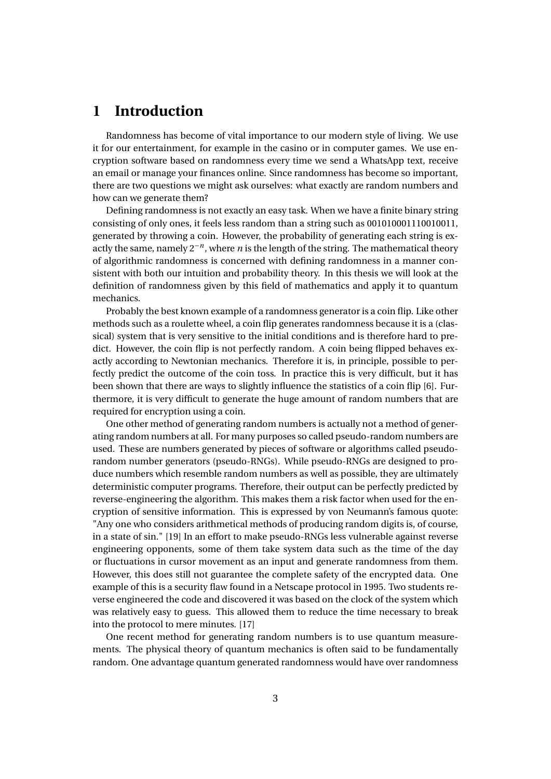## **1 Introduction**

Randomness has become of vital importance to our modern style of living. We use it for our entertainment, for example in the casino or in computer games. We use encryption software based on randomness every time we send a WhatsApp text, receive an email or manage your finances online. Since randomness has become so important, there are two questions we might ask ourselves: what exactly are random numbers and how can we generate them?

Defining randomness is not exactly an easy task. When we have a finite binary string consisting of only ones, it feels less random than a string such as 001010001110010011, generated by throwing a coin. However, the probability of generating each string is exactly the same, namely 2−*<sup>n</sup>* , where *n* is the length of the string. The mathematical theory of algorithmic randomness is concerned with defining randomness in a manner consistent with both our intuition and probability theory. In this thesis we will look at the definition of randomness given by this field of mathematics and apply it to quantum mechanics.

Probably the best known example of a randomness generator is a coin flip. Like other methods such as a roulette wheel, a coin flip generates randomness because it is a (classical) system that is very sensitive to the initial conditions and is therefore hard to predict. However, the coin flip is not perfectly random. A coin being flipped behaves exactly according to Newtonian mechanics. Therefore it is, in principle, possible to perfectly predict the outcome of the coin toss. In practice this is very difficult, but it has been shown that there are ways to slightly influence the statistics of a coin flip [6]. Furthermore, it is very difficult to generate the huge amount of random numbers that are required for encryption using a coin.

One other method of generating random numbers is actually not a method of generating random numbers at all. For many purposes so called pseudo-random numbers are used. These are numbers generated by pieces of software or algorithms called pseudorandom number generators (pseudo-RNGs). While pseudo-RNGs are designed to produce numbers which resemble random numbers as well as possible, they are ultimately deterministic computer programs. Therefore, their output can be perfectly predicted by reverse-engineering the algorithm. This makes them a risk factor when used for the encryption of sensitive information. This is expressed by von Neumann's famous quote: "Any one who considers arithmetical methods of producing random digits is, of course, in a state of sin." [19] In an effort to make pseudo-RNGs less vulnerable against reverse engineering opponents, some of them take system data such as the time of the day or fluctuations in cursor movement as an input and generate randomness from them. However, this does still not guarantee the complete safety of the encrypted data. One example of this is a security flaw found in a Netscape protocol in 1995. Two students reverse engineered the code and discovered it was based on the clock of the system which was relatively easy to guess. This allowed them to reduce the time necessary to break into the protocol to mere minutes. [17]

One recent method for generating random numbers is to use quantum measurements. The physical theory of quantum mechanics is often said to be fundamentally random. One advantage quantum generated randomness would have over randomness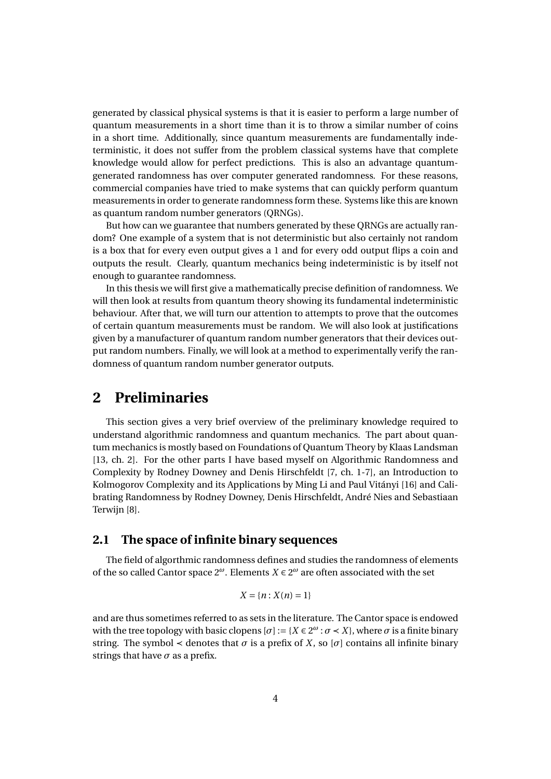generated by classical physical systems is that it is easier to perform a large number of quantum measurements in a short time than it is to throw a similar number of coins in a short time. Additionally, since quantum measurements are fundamentally indeterministic, it does not suffer from the problem classical systems have that complete knowledge would allow for perfect predictions. This is also an advantage quantumgenerated randomness has over computer generated randomness. For these reasons, commercial companies have tried to make systems that can quickly perform quantum measurements in order to generate randomness form these. Systems like this are known as quantum random number generators (QRNGs).

But how can we guarantee that numbers generated by these QRNGs are actually random? One example of a system that is not deterministic but also certainly not random is a box that for every even output gives a 1 and for every odd output flips a coin and outputs the result. Clearly, quantum mechanics being indeterministic is by itself not enough to guarantee randomness.

In this thesis we will first give a mathematically precise definition of randomness. We will then look at results from quantum theory showing its fundamental indeterministic behaviour. After that, we will turn our attention to attempts to prove that the outcomes of certain quantum measurements must be random. We will also look at justifications given by a manufacturer of quantum random number generators that their devices output random numbers. Finally, we will look at a method to experimentally verify the randomness of quantum random number generator outputs.

## **2 Preliminaries**

This section gives a very brief overview of the preliminary knowledge required to understand algorithmic randomness and quantum mechanics. The part about quantum mechanics is mostly based on Foundations of Quantum Theory by Klaas Landsman [13, ch. 2]. For the other parts I have based myself on Algorithmic Randomness and Complexity by Rodney Downey and Denis Hirschfeldt [7, ch. 1-7], an Introduction to Kolmogorov Complexity and its Applications by Ming Li and Paul Vitányi [16] and Calibrating Randomness by Rodney Downey, Denis Hirschfeldt, André Nies and Sebastiaan Terwijn [8].

#### **2.1 The space of infinite binary sequences**

The field of algorthmic randomness defines and studies the randomness of elements of the so called Cantor space  $2^{\omega}$ . Elements  $X \in 2^{\omega}$  are often associated with the set

$$
X=\{n:X(n)=1\}
$$

and are thus sometimes referred to as sets in the literature. The Cantor space is endowed with the tree topology with basic clopens  $[\sigma] := \{X \in 2^{\omega} : \sigma \prec X\}$ , where  $\sigma$  is a finite binary string. The symbol < denotes that  $\sigma$  is a prefix of *X*, so [ $\sigma$ ] contains all infinite binary strings that have  $\sigma$  as a prefix.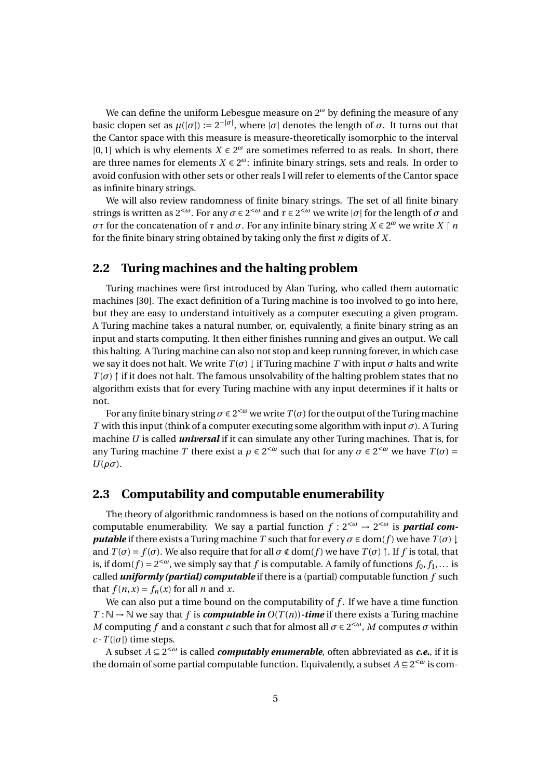We can define the uniform Lebesgue measure on 2*<sup>ω</sup>* by defining the measure of any basic clopen set as  $\mu([\sigma]) := 2^{-|\sigma|}$ , where  $|\sigma|$  denotes the length of  $\sigma$ . It turns out that the Cantor space with this measure is measure-theoretically isomorphic to the interval [0, 1] which is why elements  $X \in 2^{\omega}$  are sometimes referred to as reals. In short, there are three names for elements  $X \in 2^{\omega}$ : infinite binary strings, sets and reals. In order to avoid confusion with other sets or other reals I will refer to elements of the Cantor space as infinite binary strings.

We will also review randomness of finite binary strings. The set of all finite binary strings is written as 2<sup><ω</sup>. For any  $\sigma \in 2^{<\omega}$  and  $\tau \in 2^{<\omega}$  we write  $|\sigma|$  for the length of  $\sigma$  and *στ* for the concatenation of *τ* and *σ*. For any infinite binary string  $X \in 2^{\omega}$  we write  $X \upharpoonright n$ for the finite binary string obtained by taking only the first *n* digits of *X*.

#### **2.2 Turing machines and the halting problem**

Turing machines were first introduced by Alan Turing, who called them automatic machines [30]. The exact definition of a Turing machine is too involved to go into here, but they are easy to understand intuitively as a computer executing a given program. A Turing machine takes a natural number, or, equivalently, a finite binary string as an input and starts computing. It then either finishes running and gives an output. We call this halting. A Turing machine can also not stop and keep running forever, in which case we say it does not halt. We write  $T(\sigma) \downarrow$  if Turing machine *T* with input  $\sigma$  halts and write  $T(\sigma)$  † if it does not halt. The famous unsolvability of the halting problem states that no algorithm exists that for every Turing machine with any input determines if it halts or not.

For any finite binary string  $\sigma \in 2^{<\omega}$  we write  $T(\sigma)$  for the output of the Turing machine *T* with this input (think of a computer executing some algorithm with input *σ*). A Turing machine *U* is called *universal* if it can simulate any other Turing machines. That is, for any Turing machine *T* there exist a  $\rho \in 2^{<\omega}$  such that for any  $\sigma \in 2^{<\omega}$  we have  $T(\sigma) =$  $U(\rho\sigma)$ .

#### **2.3 Computability and computable enumerability**

The theory of algorithmic randomness is based on the notions of computability and computable enumerability. We say a partial function  $f: 2^{<\omega} \to 2^{<\omega}$  is **partial com***putable* if there exists a Turing machine *T* such that for every  $\sigma \in \text{dom}(f)$  we have  $T(\sigma) \downarrow$ and  $T(\sigma) = f(\sigma)$ . We also require that for all  $\sigma \notin \text{dom}(f)$  we have  $T(\sigma) \uparrow$ . If f is total, that is, if dom(*f*) =  $2^{<\omega}$ , we simply say that *f* is computable. A family of functions  $f_0, f_1,...$  is called *uniformly (partial) computable* if there is a (partial) computable function *f* such that  $f(n, x) = f_n(x)$  for all *n* and *x*.

We can also put a time bound on the computability of *f* . If we have a time function  $T : \mathbb{N} \to \mathbb{N}$  we say that *f* is *computable in*  $O(T(n))$ -time if there exists a Turing machine *M* computing *f* and a constant *c* such that for almost all  $\sigma \in 2^{< \omega}$ , *M* computes  $\sigma$  within  $c \cdot T(|\sigma|)$  time steps.

A subset *A* ⊆ 2 <sup>&</sup>lt;*<sup>ω</sup>* is called *computably enumerable*, often abbreviated as *c.e.*, if it is the domain of some partial computable function. Equivalently, a subset  $A \subseteq 2^{< \omega}$  is com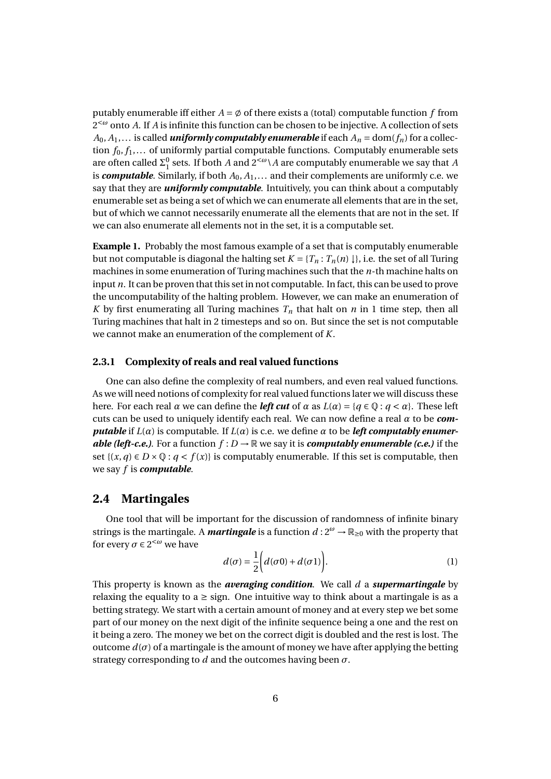putably enumerable iff either  $A = \emptyset$  of there exists a (total) computable function f from 2 <sup>&</sup>lt;*<sup>ω</sup>* onto *A*. If *A* is infinite this function can be chosen to be injective. A collection of sets  $A_0, A_1, \ldots$  is called *uniformly computably enumerable* if each  $A_n = \text{dom}(f_n)$  for a collection *f*0, *f*1,... of uniformly partial computable functions. Computably enumerable sets are often called  $\Sigma_1^0$  sets. If both *A* and  $2^{<\omega}$  *A* are computably enumerable we say that *A* is *computable*. Similarly, if both *A*0, *A*1,... and their complements are uniformly c.e. we say that they are *uniformly computable*. Intuitively, you can think about a computably enumerable set as being a set of which we can enumerate all elements that are in the set, but of which we cannot necessarily enumerate all the elements that are not in the set. If we can also enumerate all elements not in the set, it is a computable set.

**Example 1.** Probably the most famous example of a set that is computably enumerable but not computable is diagonal the halting set  $K = \{T_n : T_n(n) \downarrow \}$ , i.e. the set of all Turing machines in some enumeration of Turing machines such that the *n*-th machine halts on input *n*. It can be proven that this set in not computable. In fact, this can be used to prove the uncomputability of the halting problem. However, we can make an enumeration of *K* by first enumerating all Turing machines  $T_n$  that halt on *n* in 1 time step, then all Turing machines that halt in 2 timesteps and so on. But since the set is not computable we cannot make an enumeration of the complement of *K*.

#### **2.3.1 Complexity of reals and real valued functions**

One can also define the complexity of real numbers, and even real valued functions. As we will need notions of complexity for real valued functions later we will discuss these here. For each real *α* we can define the *left cut* of *α* as  $L(\alpha) = \{q \in \mathbb{Q} : q < \alpha\}$ . These left cuts can be used to uniquely identify each real. We can now define a real *α* to be *computable* if  $L(\alpha)$  is computable. If  $L(\alpha)$  is c.e. we define  $\alpha$  to be *left computably enumerable (left-c.e.)*. For a function  $f: D \to \mathbb{R}$  we say it is *computably enumerable (c.e.)* if the set  $\{(x, q) \in D \times \mathbb{Q} : q < f(x)\}\$ is computably enumerable. If this set is computable, then we say *f* is *computable*.

#### **2.4 Martingales**

One tool that will be important for the discussion of randomness of infinite binary strings is the martingale. A *martingale* is a function  $d: 2^{\omega} \to \mathbb{R}_{\geq 0}$  with the property that for every  $\sigma \in 2^{<\omega}$  we have

$$
d(\sigma) = \frac{1}{2} \bigg( d(\sigma 0) + d(\sigma 1) \bigg). \tag{1}
$$

This property is known as the *averaging condition*. We call *d* a *supermartingale* by relaxing the equality to a  $\geq$  sign. One intuitive way to think about a martingale is as a betting strategy. We start with a certain amount of money and at every step we bet some part of our money on the next digit of the infinite sequence being a one and the rest on it being a zero. The money we bet on the correct digit is doubled and the rest is lost. The outcome  $d(σ)$  of a martingale is the amount of money we have after applying the betting strategy corresponding to *d* and the outcomes having been *σ*.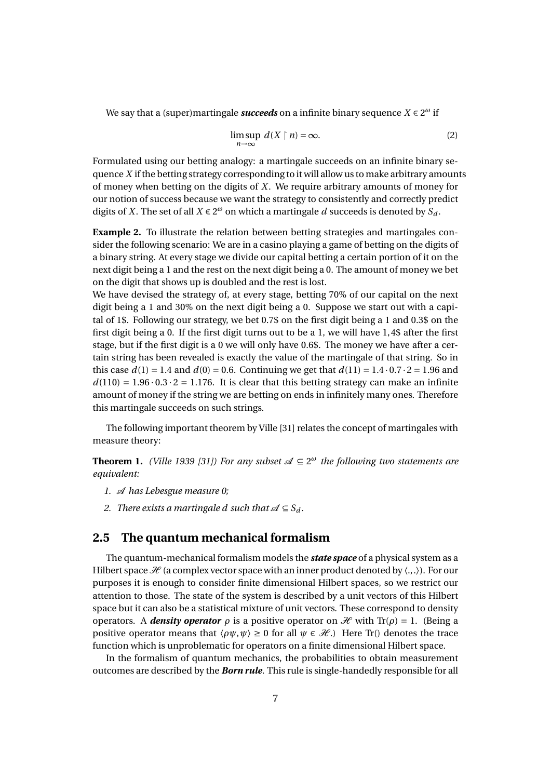We say that a (super)martingale *succeeds* on a infinite binary sequence *X* ∈ 2 *<sup>ω</sup>* if

$$
\limsup_{n \to \infty} d(X \mid n) = \infty. \tag{2}
$$

Formulated using our betting analogy: a martingale succeeds on an infinite binary sequence *X* if the betting strategy corresponding to it will allow us to make arbitrary amounts of money when betting on the digits of *X*. We require arbitrary amounts of money for our notion of success because we want the strategy to consistently and correctly predict digits of *X*. The set of all  $X \in 2^{\omega}$  on which a martingale *d* succeeds is denoted by  $S_d$ .

**Example 2.** To illustrate the relation between betting strategies and martingales consider the following scenario: We are in a casino playing a game of betting on the digits of a binary string. At every stage we divide our capital betting a certain portion of it on the next digit being a 1 and the rest on the next digit being a 0. The amount of money we bet on the digit that shows up is doubled and the rest is lost.

We have devised the strategy of, at every stage, betting 70% of our capital on the next digit being a 1 and 30% on the next digit being a 0. Suppose we start out with a capital of 1\$. Following our strategy, we bet 0.7\$ on the first digit being a 1 and 0.3\$ on the first digit being a 0. If the first digit turns out to be a 1, we will have 1, 4\$ after the first stage, but if the first digit is a 0 we will only have 0.6\$. The money we have after a certain string has been revealed is exactly the value of the martingale of that string. So in this case  $d(1) = 1.4$  and  $d(0) = 0.6$ . Continuing we get that  $d(11) = 1.4 \cdot 0.7 \cdot 2 = 1.96$  and  $d(110) = 1.96 \cdot 0.3 \cdot 2 = 1.176$ . It is clear that this betting strategy can make an infinite amount of money if the string we are betting on ends in infinitely many ones. Therefore this martingale succeeds on such strings.

The following important theorem by Ville [31] relates the concept of martingales with measure theory:

**Theorem 1.** *(Ville 1939 [31]) For any subset*  $\mathcal{A} \subseteq 2^{\omega}$  the following two statements are *equivalent:*

- *1.* A *has Lebesgue measure 0;*
- *2. There exists a martingale d such that*  $\mathcal{A} \subseteq S_d$ .

#### **2.5 The quantum mechanical formalism**

The quantum-mechanical formalism models the *state space* of a physical system as a Hilbert space  $\mathcal{H}$  (a complex vector space with an inner product denoted by  $\langle ., . \rangle$ ). For our purposes it is enough to consider finite dimensional Hilbert spaces, so we restrict our attention to those. The state of the system is described by a unit vectors of this Hilbert space but it can also be a statistical mixture of unit vectors. These correspond to density operators. A *density operator*  $ρ$  is a positive operator on  $H$  with Tr( $ρ$ ) = 1. (Being a positive operator means that  $\langle \rho \psi, \psi \rangle \ge 0$  for all  $\psi \in \mathcal{H}$ .) Here Tr() denotes the trace function which is unproblematic for operators on a finite dimensional Hilbert space.

In the formalism of quantum mechanics, the probabilities to obtain measurement outcomes are described by the *Born rule*. This rule is single-handedly responsible for all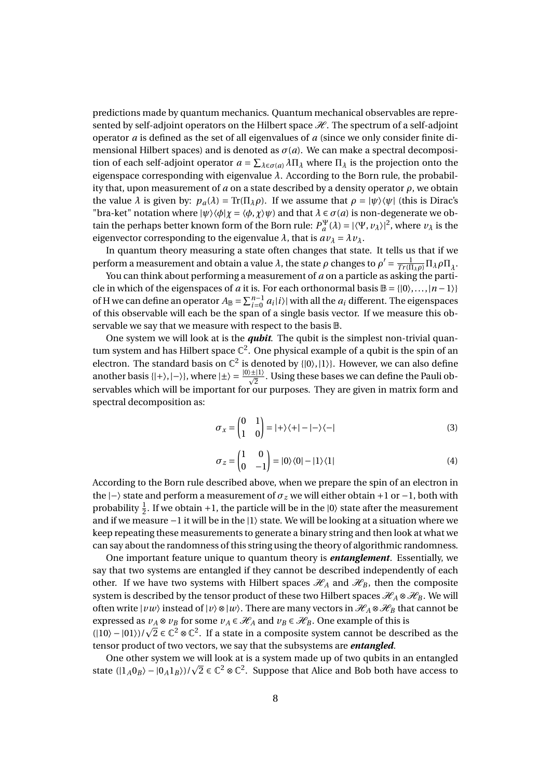predictions made by quantum mechanics. Quantum mechanical observables are represented by self-adjoint operators on the Hilbert space  $H$ . The spectrum of a self-adjoint operator *a* is defined as the set of all eigenvalues of *a* (since we only consider finite dimensional Hilbert spaces) and is denoted as  $\sigma(a)$ . We can make a spectral decomposition of each self-adjoint operator  $a = \sum_{\lambda \in \sigma(a)} \lambda \Pi_{\lambda}$  where  $\Pi_{\lambda}$  is the projection onto the eigenspace corresponding with eigenvalue *λ*. According to the Born rule, the probability that, upon measurement of *a* on a state described by a density operator *ρ*, we obtain the value  $\lambda$  is given by:  $p_a(\lambda) = \text{Tr}(\Pi_\lambda \rho)$ . If we assume that  $\rho = |\psi\rangle\langle\psi|$  (this is Dirac's "bra-ket" notation where  $|\psi\rangle\langle\phi|\chi = \langle\phi, \chi\rangle\psi$  and that  $\lambda \in \sigma(a)$  is non-degenerate we obtain the perhaps better known form of the Born rule:  $P_a^{\Psi}(\lambda) = |\langle \Psi, \nu_{\lambda} \rangle|^2$ , where  $\nu_{\lambda}$  is the eigenvector corresponding to the eigenvalue  $\lambda$ , that is  $a v_{\lambda} = \lambda v_{\lambda}$ .

In quantum theory measuring a state often changes that state. It tells us that if we perform a measurement and obtain a value *λ*, the state *ρ* changes to  $ρ' = \frac{1}{Tr(\Pi_{\lambda}ρ)} \Pi_{\lambda}ρ\Pi_{\lambda}$ .

You can think about performing a measurement of *a* on a particle as asking the particle in which of the eigenspaces of *a* it is. For each orthonormal basis  $\mathbb{B} = \{ |0\rangle, ..., |n-1\rangle \}$ of H we can define an operator  $A_{\mathbb{B}} = \sum_{i=0}^{n-1} a_i |i\rangle$  with all the  $a_i$  different. The eigenspaces of this observable will each be the span of a single basis vector. If we measure this observable we say that we measure with respect to the basis B.

One system we will look at is the *qubit*. The qubit is the simplest non-trivial quantum system and has Hilbert space  $\mathbb{C}^2$ . One physical example of a qubit is the spin of an electron. The standard basis on  $\mathbb{C}^2$  is denoted by  $\{|0\rangle, |1\rangle\}$ . However, we can also define another basis { $|+\rangle$ ,  $|-\rangle$ }, where  $|\pm\rangle = \frac{|0\rangle \pm |1\rangle}{\sqrt{2}}$  $\frac{2\lfloor 17\rfloor}{2}$ . Using these bases we can define the Pauli observables which will be important for our purposes. They are given in matrix form and spectral decomposition as:

$$
\sigma_x = \begin{pmatrix} 0 & 1 \\ 1 & 0 \end{pmatrix} = |+\rangle\langle+| - |-\rangle\langle-| \tag{3}
$$

$$
\sigma_z = \begin{pmatrix} 1 & 0 \\ 0 & -1 \end{pmatrix} = |0\rangle\langle 0| - |1\rangle\langle 1|
$$
 (4)

According to the Born rule described above, when we prepare the spin of an electron in the  $|−⟩$  state and perform a measurement of  $\sigma$ <sub>z</sub> we will either obtain +1 or -1, both with probability  $\frac{1}{2}$ . If we obtain +1, the particle will be in the  $|0\rangle$  state after the measurement and if we measure −1 it will be in the |1〉 state. We will be looking at a situation where we keep repeating these measurements to generate a binary string and then look at what we can say about the randomness of this string using the theory of algorithmic randomness.

One important feature unique to quantum theory is *entanglement*. Essentially, we say that two systems are entangled if they cannot be described independently of each other. If we have two systems with Hilbert spaces  $\mathcal{H}_A$  and  $\mathcal{H}_B$ , then the composite system is described by the tensor product of these two Hilbert spaces  $\mathcal{H}_A \otimes \mathcal{H}_B$ . We will often write  $|vw\rangle$  instead of  $|v\rangle \otimes |w\rangle$ . There are many vectors in  $\mathcal{H}_A \otimes \mathcal{H}_B$  that cannot be expressed as  $v_A \otimes v_B$  for some  $v_A \in \mathcal{H}_A$  and  $v_B \in \mathcal{H}_B$ . One example of this is expressed as  $v_A \otimes v_B$  for some  $v_A \in \mathcal{H}_A$  and  $v_B \in \mathcal{H}_B$ . One example of this is<br>(|10) – |01})/ $\sqrt{2} \in \mathbb{C}^2 \otimes \mathbb{C}^2$ . If a state in a composite system cannot be described as the tensor product of two vectors, we say that the subsystems are *entangled*.

One other system we will look at is a system made up of two qubits in an entangled One other system we will look at is a system made up of two qubits in an entangled<br>state  $(|1_A0_B\rangle - |0_A1_B\rangle)/\sqrt{2} \in \mathbb{C}^2 \otimes \mathbb{C}^2$ . Suppose that Alice and Bob both have access to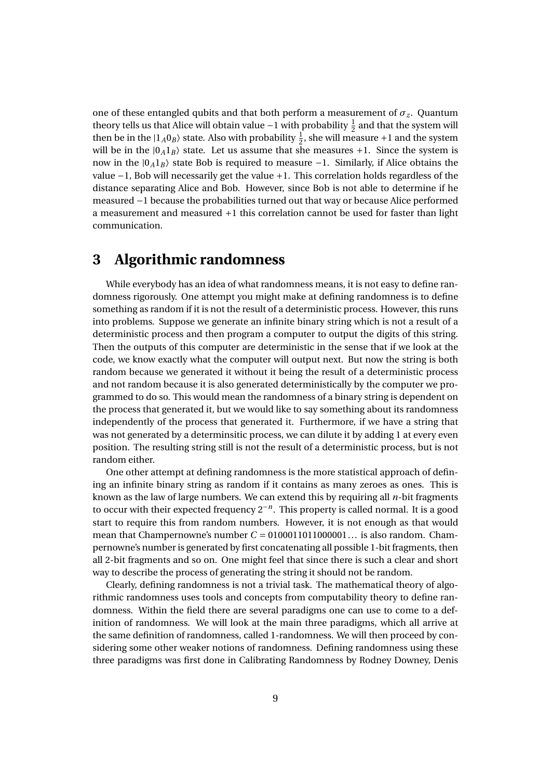one of these entangled qubits and that both perform a measurement of  $\sigma_z$ . Quantum theory tells us that Alice will obtain value −1 with probability  $\frac{1}{2}$  and that the system will then be in the  $|1_A0_B\rangle$  state. Also with probability  $\frac{1}{2}$ , she will measure +1 and the system will be in the  $|0_A1_B\rangle$  state. Let us assume that she measures +1. Since the system is now in the  $|0_A1_B\rangle$  state Bob is required to measure −1. Similarly, if Alice obtains the value −1, Bob will necessarily get the value +1. This correlation holds regardless of the distance separating Alice and Bob. However, since Bob is not able to determine if he measured −1 because the probabilities turned out that way or because Alice performed a measurement and measured +1 this correlation cannot be used for faster than light communication.

## **3 Algorithmic randomness**

While everybody has an idea of what randomness means, it is not easy to define randomness rigorously. One attempt you might make at defining randomness is to define something as random if it is not the result of a deterministic process. However, this runs into problems. Suppose we generate an infinite binary string which is not a result of a deterministic process and then program a computer to output the digits of this string. Then the outputs of this computer are deterministic in the sense that if we look at the code, we know exactly what the computer will output next. But now the string is both random because we generated it without it being the result of a deterministic process and not random because it is also generated deterministically by the computer we programmed to do so. This would mean the randomness of a binary string is dependent on the process that generated it, but we would like to say something about its randomness independently of the process that generated it. Furthermore, if we have a string that was not generated by a determinsitic process, we can dilute it by adding 1 at every even position. The resulting string still is not the result of a deterministic process, but is not random either.

One other attempt at defining randomness is the more statistical approach of defining an infinite binary string as random if it contains as many zeroes as ones. This is known as the law of large numbers. We can extend this by requiring all *n*-bit fragments to occur with their expected frequency 2−*<sup>n</sup>* . This property is called normal. It is a good start to require this from random numbers. However, it is not enough as that would mean that Champernowne's number  $C = 0100011011000001...$  is also random. Champernowne's number is generated by first concatenating all possible 1-bit fragments, then all 2-bit fragments and so on. One might feel that since there is such a clear and short way to describe the process of generating the string it should not be random.

Clearly, defining randomness is not a trivial task. The mathematical theory of algorithmic randomness uses tools and concepts from computability theory to define randomness. Within the field there are several paradigms one can use to come to a definition of randomness. We will look at the main three paradigms, which all arrive at the same definition of randomness, called 1-randomness. We will then proceed by considering some other weaker notions of randomness. Defining randomness using these three paradigms was first done in Calibrating Randomness by Rodney Downey, Denis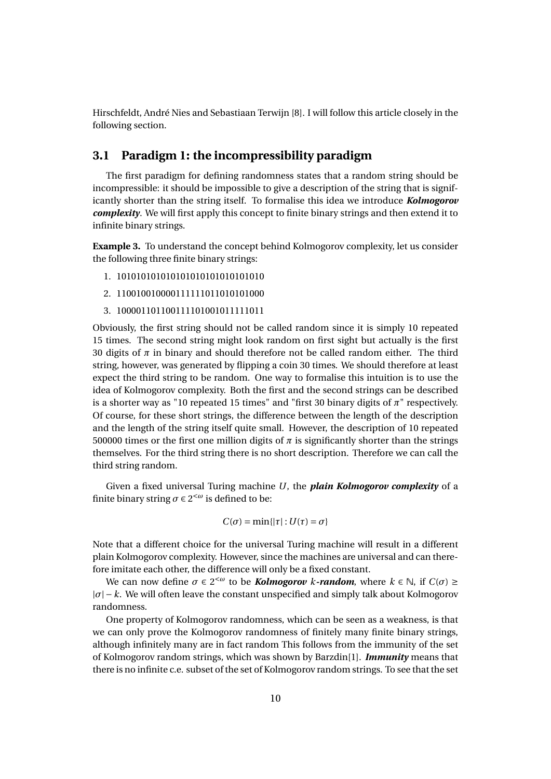Hirschfeldt, André Nies and Sebastiaan Terwijn [8]. I will follow this article closely in the following section.

#### **3.1 Paradigm 1: the incompressibility paradigm**

The first paradigm for defining randomness states that a random string should be incompressible: it should be impossible to give a description of the string that is significantly shorter than the string itself. To formalise this idea we introduce *Kolmogorov complexity*. We will first apply this concept to finite binary strings and then extend it to infinite binary strings.

**Example 3.** To understand the concept behind Kolmogorov complexity, let us consider the following three finite binary strings:

- 1. 101010101010101010101010101010
- 2. 110010010000111111011010101000
- 3. 100001101100111101001011111011

Obviously, the first string should not be called random since it is simply 10 repeated 15 times. The second string might look random on first sight but actually is the first 30 digits of  $\pi$  in binary and should therefore not be called random either. The third string, however, was generated by flipping a coin 30 times. We should therefore at least expect the third string to be random. One way to formalise this intuition is to use the idea of Kolmogorov complexity. Both the first and the second strings can be described is a shorter way as "10 repeated 15 times" and "first 30 binary digits of *π*" respectively. Of course, for these short strings, the difference between the length of the description and the length of the string itself quite small. However, the description of 10 repeated 500000 times or the first one million digits of  $\pi$  is significantly shorter than the strings themselves. For the third string there is no short description. Therefore we can call the third string random.

Given a fixed universal Turing machine *U*, the *plain Kolmogorov complexity* of a finite binary string  $\sigma \in 2^{<\omega}$  is defined to be:

$$
C(\sigma)=\min\{|\tau|:U(\tau)=\sigma\}
$$

Note that a different choice for the universal Turing machine will result in a different plain Kolmogorov complexity. However, since the machines are universal and can therefore imitate each other, the difference will only be a fixed constant.

We can now define *σ* ∈ 2<sup><ω</sup> to be *Kolmogorov k-random*, where *k* ∈ ℕ, if *C*(*σ*) ≥  $|\sigma| - k$ . We will often leave the constant unspecified and simply talk about Kolmogorov randomness.

One property of Kolmogorov randomness, which can be seen as a weakness, is that we can only prove the Kolmogorov randomness of finitely many finite binary strings, although infinitely many are in fact random This follows from the immunity of the set of Kolmogorov random strings, which was shown by Barzdin[1]. *Immunity* means that there is no infinite c.e. subset of the set of Kolmogorov random strings. To see that the set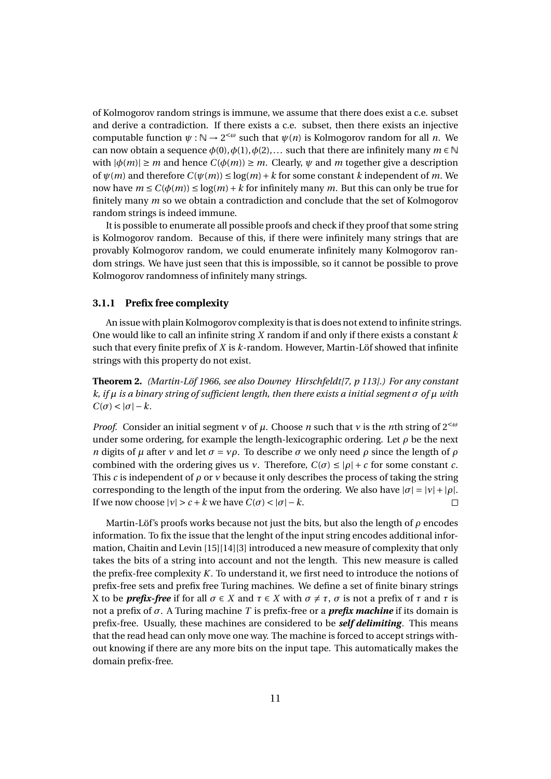of Kolmogorov random strings is immune, we assume that there does exist a c.e. subset and derive a contradiction. If there exists a c.e. subset, then there exists an injective computable function  $\psi : \mathbb{N} \to 2^{<\omega}$  such that  $\psi(n)$  is Kolmogorov random for all *n*. We can now obtain a sequence  $\phi(0), \phi(1), \phi(2), \ldots$  such that there are infinitely many  $m \in \mathbb{N}$ with  $|\phi(m)| \ge m$  and hence  $C(\phi(m)) \ge m$ . Clearly,  $\psi$  and  $m$  together give a description of  $\psi(m)$  and therefore  $C(\psi(m)) \leq \log(m) + k$  for some constant *k* independent of *m*. We now have  $m \le C(\phi(m)) \le \log(m) + k$  for infinitely many *m*. But this can only be true for finitely many *m* so we obtain a contradiction and conclude that the set of Kolmogorov random strings is indeed immune.

It is possible to enumerate all possible proofs and check if they proof that some string is Kolmogorov random. Because of this, if there were infinitely many strings that are provably Kolmogorov random, we could enumerate infinitely many Kolmogorov random strings. We have just seen that this is impossible, so it cannot be possible to prove Kolmogorov randomness of infinitely many strings.

#### **3.1.1 Prefix free complexity**

An issue with plain Kolmogorov complexity is that is does not extend to infinite strings. One would like to call an infinite string *X* random if and only if there exists a constant *k* such that every finite prefix of *X* is *k*-random. However, Martin-Löf showed that infinite strings with this property do not exist.

**Theorem 2.** *(Martin-Löf 1966, see also Downey Hirschfeldt[7, p 113].) For any constant k, if µ is a binary string of sufficient length, then there exists a initial segment σ of µ with*  $C(\sigma) < |\sigma| - k$ .

*Proof.* Consider an initial segment *ν* of *µ*. Choose *n* such that *ν* is the *n*th string of 2<*<sup>ω</sup>* under some ordering, for example the length-lexicographic ordering. Let  $\rho$  be the next *n* digits of *µ* after *v* and let  $\sigma = v\rho$ . To describe  $\sigma$  we only need  $\rho$  since the length of  $\rho$ combined with the ordering gives us *ν*. Therefore,  $C(\sigma) \leq |\rho| + c$  for some constant *c*. This *c* is independent of *ρ* or *ν* because it only describes the process of taking the string corresponding to the length of the input from the ordering. We also have  $|\sigma| = |\nu| + |\rho|$ . If we now choose  $|v| > c + k$  we have  $C(\sigma) < |\sigma| - k$ .  $\Box$ 

Martin-Löf's proofs works because not just the bits, but also the length of *ρ* encodes information. To fix the issue that the lenght of the input string encodes additional information, Chaitin and Levin [15][14][3] introduced a new measure of complexity that only takes the bits of a string into account and not the length. This new measure is called the prefix-free complexity *K*. To understand it, we first need to introduce the notions of prefix-free sets and prefix free Turing machines. We define a set of finite binary strings X to be *prefix-free* if for all  $\sigma \in X$  and  $\tau \in X$  with  $\sigma \neq \tau$ ,  $\sigma$  is not a prefix of  $\tau$  and  $\tau$  is not a prefix of *σ*. A Turing machine *T* is prefix-free or a *prefix machine* if its domain is prefix-free. Usually, these machines are considered to be *self delimiting*. This means that the read head can only move one way. The machine is forced to accept strings without knowing if there are any more bits on the input tape. This automatically makes the domain prefix-free.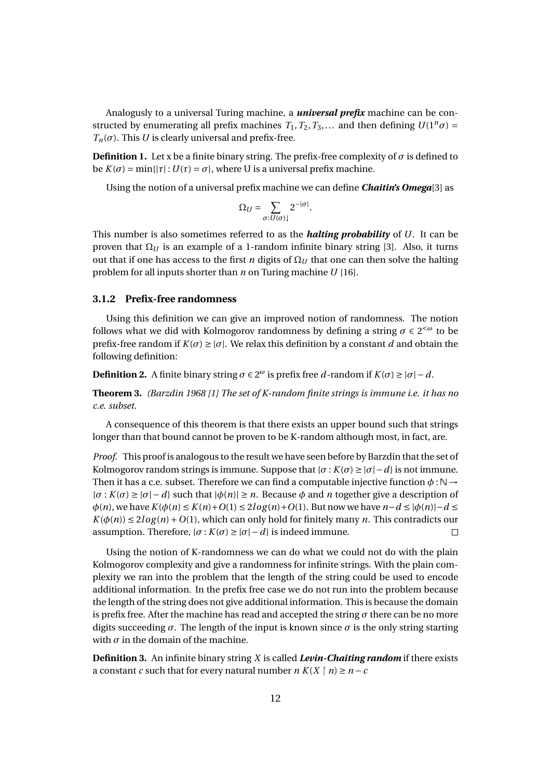Analogusly to a universal Turing machine, a *universal prefix* machine can be constructed by enumerating all prefix machines  $T_1, T_2, T_3,...$  and then defining  $U(1^n \sigma) =$  $T_n(\sigma)$ . This *U* is clearly universal and prefix-free.

**Definition 1.** Let x be a finite binary string. The prefix-free complexity of  $\sigma$  is defined to be  $K(\sigma) = \min\{|\tau| : U(\tau) = \sigma\}$ , where U is a universal prefix machine.

Using the notion of a universal prefix machine we can define *Chaitin's Omega*[3] as

$$
\Omega_U = \sum_{\sigma: U(\sigma)\downarrow} 2^{-|\sigma|}.
$$

This number is also sometimes referred to as the *halting probability* of *U*. It can be proven that  $Ω<sub>U</sub>$  is an example of a 1-random infinite binary string [3]. Also, it turns out that if one has access to the first *n* digits of  $\Omega$ <sub>*U*</sub> that one can then solve the halting problem for all inputs shorter than *n* on Turing machine *U* [16].

#### **3.1.2 Prefix-free randomness**

Using this definition we can give an improved notion of randomness. The notion follows what we did with Kolmogorov randomness by defining a string  $\sigma \in 2^{< \omega}$  to be prefix-free random if  $K(\sigma) \geq |\sigma|$ . We relax this definition by a constant *d* and obtain the following definition:

**Definition 2.** A finite binary string  $\sigma \in 2^{\omega}$  is prefix free *d*-random if  $K(\sigma) \ge |\sigma| - d$ .

**Theorem 3.** *(Barzdin 1968 [1] The set of K-random finite strings is immune i.e. it has no c.e. subset.*

A consequence of this theorem is that there exists an upper bound such that strings longer than that bound cannot be proven to be K-random although most, in fact, are.

*Proof.* This proof is analogous to the result we have seen before by Barzdin that the set of Kolmogorov random strings is immune. Suppose that  $\{\sigma : K(\sigma) \ge |\sigma| - d\}$  is not immune. Then it has a c.e. subset. Therefore we can find a computable injective function  $\phi : \mathbb{N} \to$ {*σ* : *K*(*σ*) ≥ |*σ*| − *d*} such that |*φ*(*n*)| ≥ *n*. Because *φ* and *n* together give a description of *φ*(*n*), we have *K*(*φ*(*n*) ≤ *K*(*n*)+*O*(1) ≤ 2*l og* (*n*)+*O*(1). But now we have *n*−*d* ≤ |*φ*(*n*)|−*d* ≤  $K(\phi(n)) \leq 2log(n) + O(1)$ , which can only hold for finitely many *n*. This contradicts our assumption. Therefore,  $\{\sigma : K(\sigma) \geq |\sigma| - d\}$  is indeed immune.

Using the notion of K-randomness we can do what we could not do with the plain Kolmogorov complexity and give a randomness for infinite strings. With the plain complexity we ran into the problem that the length of the string could be used to encode additional information. In the prefix free case we do not run into the problem because the length of the string does not give additional information. This is because the domain is prefix free. After the machine has read and accepted the string *σ* there can be no more digits succeeding  $\sigma$ . The length of the input is known since  $\sigma$  is the only string starting with  $\sigma$  in the domain of the machine.

**Definition 3.** An infinite binary string *X* is called *Levin-Chaiting random* if there exists a constant *c* such that for every natural number  $n K(X \mid n) \geq n - c$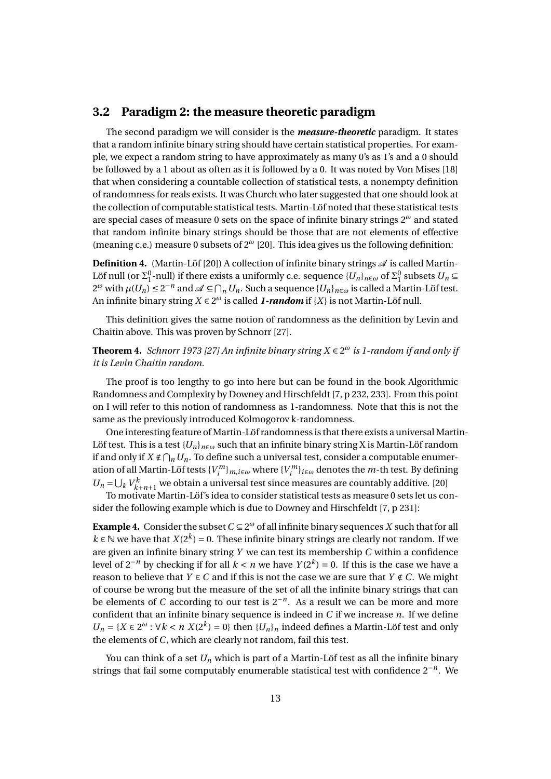#### **3.2 Paradigm 2: the measure theoretic paradigm**

The second paradigm we will consider is the *measure-theoretic* paradigm. It states that a random infinite binary string should have certain statistical properties. For example, we expect a random string to have approximately as many 0's as 1's and a 0 should be followed by a 1 about as often as it is followed by a 0. It was noted by Von Mises [18] that when considering a countable collection of statistical tests, a nonempty definition of randomness for reals exists. It was Church who later suggested that one should look at the collection of computable statistical tests. Martin-Löf noted that these statistical tests are special cases of measure 0 sets on the space of infinite binary strings 2*<sup>ω</sup>* and stated that random infinite binary strings should be those that are not elements of effective (meaning c.e.) measure 0 subsets of 2*<sup>ω</sup>* [20]. This idea gives us the following definition:

**Definition 4.** (Martin-Löf [20]) A collection of infinite binary strings  $\mathscr A$  is called Martin-Löf null (or  $\Sigma_1^0$ -null) if there exists a uniformly c.e. sequence  $\{U_n\}_{n\in\omega}$  of  $\Sigma_1^0$  subsets  $U_n$  $2^ω$  with  $μ(U_n) ≤ 2^{-n}$  and  $\mathcal{A} ⊆ ∩_n U_n$ . Such a sequence  ${U_n}_{n ∈ ω}$  is called a Martin-Löf test. An infinite binary string *X* ∈ 2 *<sup>ω</sup>* is called *1-random* if {*X*} is not Martin-Löf null.

This definition gives the same notion of randomness as the definition by Levin and Chaitin above. This was proven by Schnorr [27].

**Theorem 4.** *Schnorr 1973 [27] An infinite binary string X* ∈ 2 *<sup>ω</sup> is 1-random if and only if it is Levin Chaitin random.*

The proof is too lengthy to go into here but can be found in the book Algorithmic Randomness and Complexity by Downey and Hirschfeldt [7, p 232, 233]. From this point on I will refer to this notion of randomness as 1-randomness. Note that this is not the same as the previously introduced Kolmogorov k-randomness.

One interesting feature of Martin-Löf randomness is that there exists a universal Martin-Löf test. This is a test  ${U_n}_{n \in \omega}$  such that an infinite binary string X is Martin-Löf random if and only if  $X \notin \bigcap_n U_n$ . To define such a universal test, consider a computable enumeration of all Martin-Löf tests  $\{V_i^m\}_{i\in\omega}$  where  $\{V_i^m\}_{i\in\omega}$  denotes the *m*-th test. By defining  $U_n = \bigcup_k V_{k+n+1}^k$  we obtain a universal test since measures are countably additive. [20]

To motivate Martin-Löf's idea to consider statistical tests as measure 0 sets let us consider the following example which is due to Downey and Hirschfeldt [7, p 231]:

**Example 4.** Consider the subset  $C \subseteq 2^{\omega}$  of all infinite binary sequences *X* such that for all *k* ∈ N we have that *X*( $2<sup>k</sup>$ ) = 0. These infinite binary strings are clearly not random. If we are given an infinite binary string *Y* we can test its membership *C* within a confidence level of  $2^{-n}$  by checking if for all  $k < n$  we have  $Y(2^k) = 0$ . If this is the case we have a reason to believe that *Y*  $\in$  *C* and if this is not the case we are sure that *Y*  $\notin$  *C*. We might of course be wrong but the measure of the set of all the infinite binary strings that can be elements of *C* according to our test is  $2^{-n}$ . As a result we can be more and more confident that an infinite binary sequence is indeed in *C* if we increase *n*. If we define *U<sub>n</sub>* = {*X* ∈ 2<sup>ω</sup> : ∀*k* < *n X*(2<sup>*k*</sup>) = 0} then {*U<sub>n</sub>*}*n* indeed defines a Martin-Löf test and only the elements of *C*, which are clearly not random, fail this test.

You can think of a set *U<sup>n</sup>* which is part of a Martin-Löf test as all the infinite binary strings that fail some computably enumerable statistical test with confidence 2−*<sup>n</sup>* . We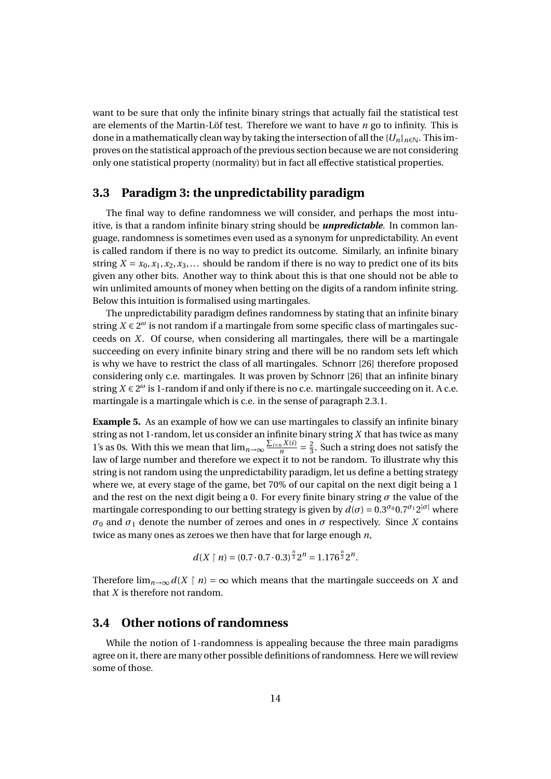want to be sure that only the infinite binary strings that actually fail the statistical test are elements of the Martin-Löf test. Therefore we want to have *n* go to infinity. This is done in a mathematically clean way by taking the intersection of all the  ${U_n}_{n \in \mathbb{N}}$ . This improves on the statistical approach of the previous section because we are not considering only one statistical property (normality) but in fact all effective statistical properties.

#### **3.3 Paradigm 3: the unpredictability paradigm**

The final way to define randomness we will consider, and perhaps the most intuitive, is that a random infinite binary string should be *unpredictable*. In common language, randomness is sometimes even used as a synonym for unpredictability. An event is called random if there is no way to predict its outcome. Similarly, an infinite binary string  $X = x_0, x_1, x_2, x_3, \ldots$  should be random if there is no way to predict one of its bits given any other bits. Another way to think about this is that one should not be able to win unlimited amounts of money when betting on the digits of a random infinite string. Below this intuition is formalised using martingales.

The unpredictability paradigm defines randomness by stating that an infinite binary string  $X \in 2^{\omega}$  is not random if a martingale from some specific class of martingales succeeds on *X*. Of course, when considering all martingales, there will be a martingale succeeding on every infinite binary string and there will be no random sets left which is why we have to restrict the class of all martingales. Schnorr [26] therefore proposed considering only c.e. martingales. It was proven by Schnorr [26] that an infinite binary string  $X \in 2^{\omega}$  is 1-random if and only if there is no c.e. martingale succeeding on it. A c.e. martingale is a martingale which is c.e. in the sense of paragraph 2.3.1.

**Example 5.** As an example of how we can use martingales to classify an infinite binary string as not 1-random, let us consider an infinite binary string *X* that has twice as many 1's as 0s. With this we mean that  $\lim_{n\to\infty} \frac{\sum_{i\leq n} X(i)}{n}$  $rac{nX(i)}{n} = \frac{2}{3}$  $\frac{2}{3}$ . Such a string does not satisfy the law of large number and therefore we expect it to not be random. To illustrate why this string is not random using the unpredictability paradigm, let us define a betting strategy where we, at every stage of the game, bet 70% of our capital on the next digit being a 1 and the rest on the next digit being a 0. For every finite binary string  $\sigma$  the value of the martingale corresponding to our betting strategy is given by  $d(\sigma) = 0.3^{\sigma_0} 0.7^{\sigma_1} 2^{|\sigma|}$  where *σ*<sub>0</sub> and *σ*<sub>1</sub> denote the number of zeroes and ones in *σ* respectively. Since *X* contains twice as many ones as zeroes we then have that for large enough *n*,

$$
d(X \upharpoonright n) = (0.7 \cdot 0.7 \cdot 0.3)^{\frac{n}{3}} 2^{n} = 1.176^{\frac{n}{3}} 2^{n}.
$$

Therefore  $\lim_{n\to\infty} d(X \mid n) = \infty$  which means that the martingale succeeds on *X* and that *X* is therefore not random.

#### **3.4 Other notions of randomness**

While the notion of 1-randomness is appealing because the three main paradigms agree on it, there are many other possible definitions of randomness. Here we will review some of those.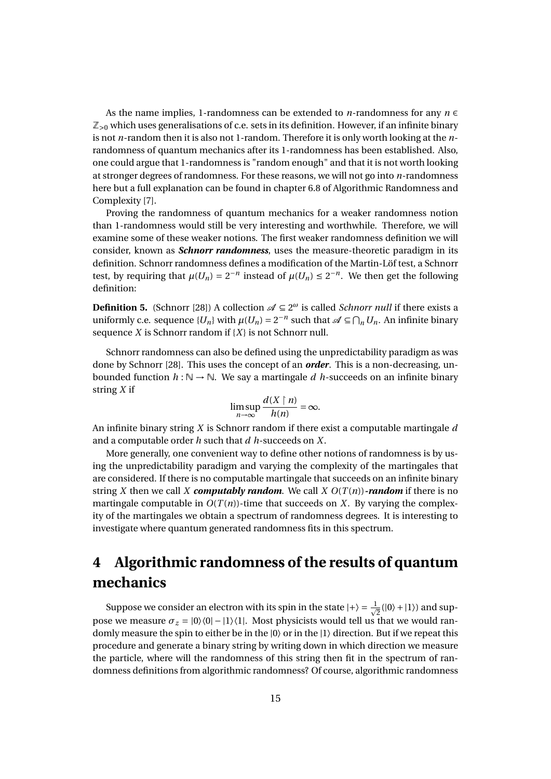As the name implies, 1-randomness can be extended to *n*-randomness for any  $n \in$  $\mathbb{Z}_{>0}$  which uses generalisations of c.e. sets in its definition. However, if an infinite binary is not *n*-random then it is also not 1-random. Therefore it is only worth looking at the *n*randomness of quantum mechanics after its 1-randomness has been established. Also, one could argue that 1-randomness is "random enough" and that it is not worth looking at stronger degrees of randomness. For these reasons, we will not go into *n*-randomness here but a full explanation can be found in chapter 6.8 of Algorithmic Randomness and Complexity [7].

Proving the randomness of quantum mechanics for a weaker randomness notion than 1-randomness would still be very interesting and worthwhile. Therefore, we will examine some of these weaker notions. The first weaker randomness definition we will consider, known as *Schnorr randomness*, uses the measure-theoretic paradigm in its definition. Schnorr randomness defines a modification of the Martin-Löf test, a Schnorr test, by requiring that  $\mu(U_n) = 2^{-n}$  instead of  $\mu(U_n) \leq 2^{-n}$ . We then get the following definition:

**Definition 5.** (Schnorr [28]) A collection  $\mathscr{A} \subseteq 2^{\omega}$  is called *Schnorr null* if there exists a uniformly c.e. sequence  $\{U_n\}$  with  $\mu(U_n) = 2^{-n}$  such that  $\mathscr{A} \subseteq \bigcap_n U_n$ . An infinite binary sequence *X* is Schnorr random if {*X*} is not Schnorr null.

Schnorr randomness can also be defined using the unpredictability paradigm as was done by Schnorr [28]. This uses the concept of an *order*. This is a non-decreasing, unbounded function  $h : \mathbb{N} \to \mathbb{N}$ . We say a martingale *d* h-succeeds on an infinite binary string *X* if

$$
\limsup_{n\to\infty}\frac{d(X\restriction n)}{h(n)}=\infty.
$$

An infinite binary string *X* is Schnorr random if there exist a computable martingale *d* and a computable order *h* such that *d h*-succeeds on *X*.

More generally, one convenient way to define other notions of randomness is by using the unpredictability paradigm and varying the complexity of the martingales that are considered. If there is no computable martingale that succeeds on an infinite binary string *X* then we call *X computably random*. We call *X*  $O(T(n))$ *-random* if there is no martingale computable in  $O(T(n))$ -time that succeeds on *X*. By varying the complexity of the martingales we obtain a spectrum of randomness degrees. It is interesting to investigate where quantum generated randomness fits in this spectrum.

## **4 Algorithmic randomness of the results of quantum mechanics**

Suppose we consider an electron with its spin in the state  $|+\rangle = \frac{1}{\sqrt{2}}$  $\frac{1}{2}(|0\rangle + |1\rangle)$  and suppose we measure  $\sigma_z = |0\rangle\langle 0| - |1\rangle\langle 1|$ . Most physicists would tell us that we would randomly measure the spin to either be in the  $|0\rangle$  or in the  $|1\rangle$  direction. But if we repeat this procedure and generate a binary string by writing down in which direction we measure the particle, where will the randomness of this string then fit in the spectrum of randomness definitions from algorithmic randomness? Of course, algorithmic randomness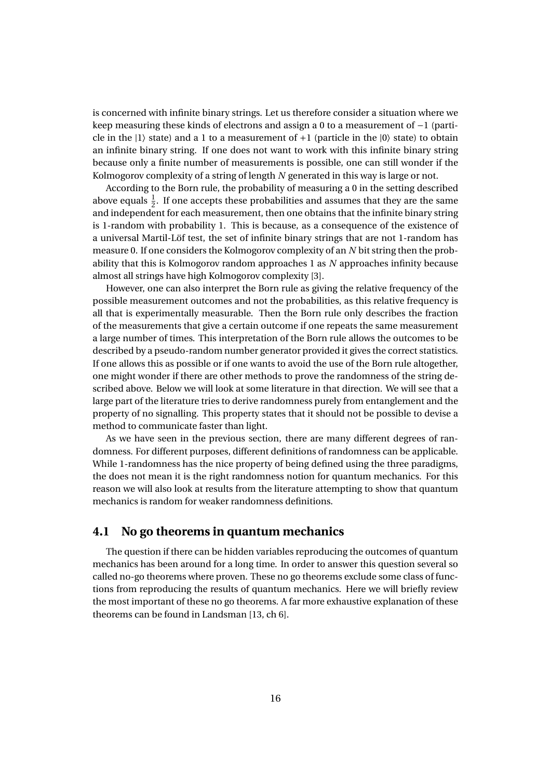is concerned with infinite binary strings. Let us therefore consider a situation where we keep measuring these kinds of electrons and assign a 0 to a measurement of −1 (particle in the  $|1\rangle$  state) and a 1 to a measurement of  $+1$  (particle in the  $|0\rangle$  state) to obtain an infinite binary string. If one does not want to work with this infinite binary string because only a finite number of measurements is possible, one can still wonder if the Kolmogorov complexity of a string of length *N* generated in this way is large or not.

According to the Born rule, the probability of measuring a 0 in the setting described above equals  $\frac{1}{2}$ . If one accepts these probabilities and assumes that they are the same and independent for each measurement, then one obtains that the infinite binary string is 1-random with probability 1. This is because, as a consequence of the existence of a universal Martil-Löf test, the set of infinite binary strings that are not 1-random has measure 0. If one considers the Kolmogorov complexity of an *N* bit string then the probability that this is Kolmogorov random approaches 1 as *N* approaches infinity because almost all strings have high Kolmogorov complexity [3].

However, one can also interpret the Born rule as giving the relative frequency of the possible measurement outcomes and not the probabilities, as this relative frequency is all that is experimentally measurable. Then the Born rule only describes the fraction of the measurements that give a certain outcome if one repeats the same measurement a large number of times. This interpretation of the Born rule allows the outcomes to be described by a pseudo-random number generator provided it gives the correct statistics. If one allows this as possible or if one wants to avoid the use of the Born rule altogether, one might wonder if there are other methods to prove the randomness of the string described above. Below we will look at some literature in that direction. We will see that a large part of the literature tries to derive randomness purely from entanglement and the property of no signalling. This property states that it should not be possible to devise a method to communicate faster than light.

As we have seen in the previous section, there are many different degrees of randomness. For different purposes, different definitions of randomness can be applicable. While 1-randomness has the nice property of being defined using the three paradigms, the does not mean it is the right randomness notion for quantum mechanics. For this reason we will also look at results from the literature attempting to show that quantum mechanics is random for weaker randomness definitions.

#### **4.1 No go theorems in quantum mechanics**

The question if there can be hidden variables reproducing the outcomes of quantum mechanics has been around for a long time. In order to answer this question several so called no-go theorems where proven. These no go theorems exclude some class of functions from reproducing the results of quantum mechanics. Here we will briefly review the most important of these no go theorems. A far more exhaustive explanation of these theorems can be found in Landsman [13, ch 6].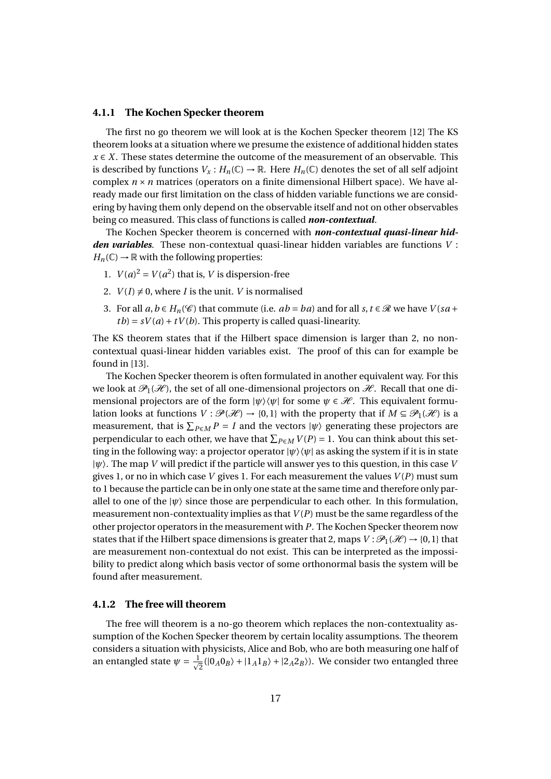#### **4.1.1 The Kochen Specker theorem**

The first no go theorem we will look at is the Kochen Specker theorem [12] The KS theorem looks at a situation where we presume the existence of additional hidden states  $x \in X$ . These states determine the outcome of the measurement of an observable. This is described by functions  $V_x : H_n(\mathbb{C}) \to \mathbb{R}$ . Here  $H_n(\mathbb{C})$  denotes the set of all self adjoint complex  $n \times n$  matrices (operators on a finite dimensional Hilbert space). We have already made our first limitation on the class of hidden variable functions we are considering by having them only depend on the observable itself and not on other observables being co measured. This class of functions is called *non-contextual*.

The Kochen Specker theorem is concerned with *non-contextual quasi-linear hidden variables*. These non-contextual quasi-linear hidden variables are functions *V* :  $H_n(\mathbb{C}) \to \mathbb{R}$  with the following properties:

- 1.  $V(a)^2 = V(a^2)$  that is, *V* is dispersion-free
- 2.  $V(I) \neq 0$ , where *I* is the unit. *V* is normalised
- 3. For all  $a, b \in H_n(\mathcal{C})$  that commute (i.e.  $ab = ba$ ) and for all  $s, t \in \mathcal{R}$  we have  $V(sa + b))$  $tb = sV(a) + tV(b)$ . This property is called quasi-linearity.

The KS theorem states that if the Hilbert space dimension is larger than 2, no noncontextual quasi-linear hidden variables exist. The proof of this can for example be found in [13].

The Kochen Specker theorem is often formulated in another equivalent way. For this we look at  $\mathcal{P}_1(\mathcal{H})$ , the set of all one-dimensional projectors on  $\mathcal{H}$ . Recall that one dimensional projectors are of the form  $|\psi\rangle\langle\psi|$  for some  $\psi \in \mathcal{H}$ . This equivalent formulation looks at functions  $V : \mathcal{P}(\mathcal{H}) \to \{0,1\}$  with the property that if  $M \subseteq \mathcal{P}_1(\mathcal{H})$  is a measurement, that is  $\sum_{P \in M} P = I$  and the vectors  $|\psi\rangle$  generating these projectors are perpendicular to each other, we have that  $\sum_{P \in M} V(P) = 1$ . You can think about this setting in the following way: a projector operator  $|\psi\rangle\langle\psi|$  as asking the system if it is in state |*ψ*〉. The map *V* will predict if the particle will answer yes to this question, in this case *V* gives 1, or no in which case *V* gives 1. For each measurement the values *V* (*P*) must sum to 1 because the particle can be in only one state at the same time and therefore only parallel to one of the  $|\psi\rangle$  since those are perpendicular to each other. In this formulation, measurement non-contextuality implies as that *V* (*P*) must be the same regardless of the other projector operators in the measurement with *P*. The Kochen Specker theorem now states that if the Hilbert space dimensions is greater that 2, maps  $V : \mathcal{P}_1(\mathcal{H}) \to \{0,1\}$  that are measurement non-contextual do not exist. This can be interpreted as the impossibility to predict along which basis vector of some orthonormal basis the system will be found after measurement.

#### **4.1.2 The free will theorem**

The free will theorem is a no-go theorem which replaces the non-contextuality assumption of the Kochen Specker theorem by certain locality assumptions. The theorem considers a situation with physicists, Alice and Bob, who are both measuring one half of an entangled state  $\psi = \frac{1}{\sqrt{2}}$  $\frac{1}{2}(|0_A0_B\rangle + |1_A1_B\rangle + |2_A2_B\rangle)$ . We consider two entangled three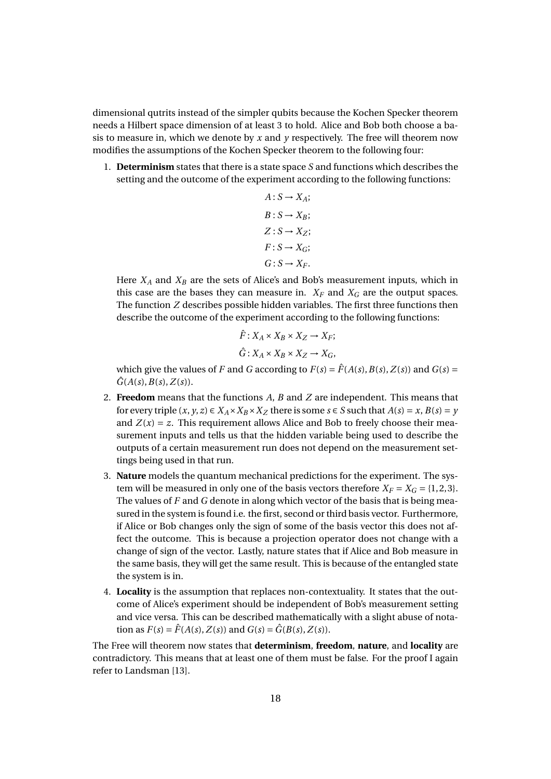dimensional qutrits instead of the simpler qubits because the Kochen Specker theorem needs a Hilbert space dimension of at least 3 to hold. Alice and Bob both choose a basis to measure in, which we denote by *x* and *y* respectively. The free will theorem now modifies the assumptions of the Kochen Specker theorem to the following four:

1. **Determinism** states that there is a state space *S* and functions which describes the setting and the outcome of the experiment according to the following functions:

$$
A: S \to X_A;
$$
  
\n
$$
B: S \to X_B;
$$
  
\n
$$
Z: S \to X_Z;
$$
  
\n
$$
F: S \to X_G;
$$
  
\n
$$
G: S \to X_F.
$$

Here  $X_A$  and  $X_B$  are the sets of Alice's and Bob's measurement inputs, which in this case are the bases they can measure in.  $X_F$  and  $X_G$  are the output spaces. The function *Z* describes possible hidden variables. The first three functions then describe the outcome of the experiment according to the following functions:

$$
\hat{F}: X_A \times X_B \times X_Z \to X_F;
$$
  

$$
\hat{G}: X_A \times X_B \times X_Z \to X_G,
$$

which give the values of *F* and *G* according to  $F(s) = \hat{F}(A(s), B(s), Z(s))$  and  $G(s) =$  $\hat{G}(A(s), B(s), Z(s)).$ 

- 2. **Freedom** means that the functions *A*, *B* and *Z* are independent. This means that for every triple  $(x, y, z) \in X_A \times X_B \times X_Z$  there is some  $s \in S$  such that  $A(s) = x, B(s) = y$ and  $Z(x) = z$ . This requirement allows Alice and Bob to freely choose their measurement inputs and tells us that the hidden variable being used to describe the outputs of a certain measurement run does not depend on the measurement settings being used in that run.
- 3. **Nature** models the quantum mechanical predictions for the experiment. The system will be measured in only one of the basis vectors therefore  $X_F = X_G = \{1, 2, 3\}.$ The values of *F* and *G* denote in along which vector of the basis that is being measured in the system is found i.e. the first, second or third basis vector. Furthermore, if Alice or Bob changes only the sign of some of the basis vector this does not affect the outcome. This is because a projection operator does not change with a change of sign of the vector. Lastly, nature states that if Alice and Bob measure in the same basis, they will get the same result. This is because of the entangled state the system is in.
- 4. **Locality** is the assumption that replaces non-contextuality. It states that the outcome of Alice's experiment should be independent of Bob's measurement setting and vice versa. This can be described mathematically with a slight abuse of notation as  $F(s) = \hat{F}(A(s), Z(s))$  and  $G(s) = \hat{G}(B(s), Z(s))$ .

The Free will theorem now states that **determinism**, **freedom**, **nature**, and **locality** are contradictory. This means that at least one of them must be false. For the proof I again refer to Landsman [13].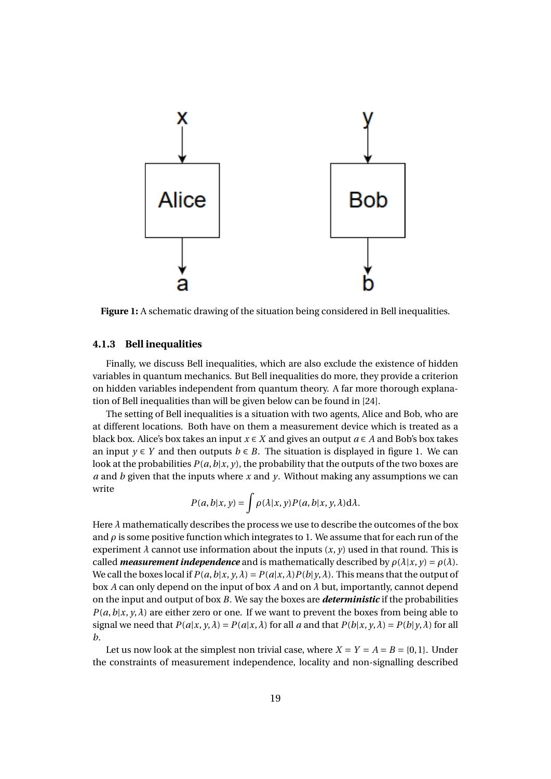

**Figure 1:** A schematic drawing of the situation being considered in Bell inequalities.

#### **4.1.3 Bell inequalities**

Finally, we discuss Bell inequalities, which are also exclude the existence of hidden variables in quantum mechanics. But Bell inequalities do more, they provide a criterion on hidden variables independent from quantum theory. A far more thorough explanation of Bell inequalities than will be given below can be found in [24].

The setting of Bell inequalities is a situation with two agents, Alice and Bob, who are at different locations. Both have on them a measurement device which is treated as a black box. Alice's box takes an input  $x \in X$  and gives an output  $a \in A$  and Bob's box takes an input  $y \in Y$  and then outputs  $b \in B$ . The situation is displayed in figure 1. We can look at the probabilities  $P(a, b|x, y)$ , the probability that the outputs of the two boxes are *a* and *b* given that the inputs where *x* and *y*. Without making any assumptions we can write

$$
P(a,b|x,y) = \int \rho(\lambda|x,y)P(a,b|x,y,\lambda)d\lambda.
$$

Here *λ* mathematically describes the process we use to describe the outcomes of the box and  $\rho$  is some positive function which integrates to 1. We assume that for each run of the experiment  $\lambda$  cannot use information about the inputs  $(x, y)$  used in that round. This is called *measurement independence* and is mathematically described by  $\rho(\lambda|x, y) = \rho(\lambda)$ . We call the boxes local if  $P(a, b|x, y, \lambda) = P(a|x, \lambda)P(b|y, \lambda)$ . This means that the output of box *A* can only depend on the input of box *A* and on *λ* but, importantly, cannot depend on the input and output of box *B*. We say the boxes are *deterministic* if the probabilities  $P(a, b|x, y, \lambda)$  are either zero or one. If we want to prevent the boxes from being able to signal we need that  $P(a|x, y, \lambda) = P(a|x, \lambda)$  for all a and that  $P(b|x, y, \lambda) = P(b|y, \lambda)$  for all *b*.

Let us now look at the simplest non trivial case, where  $X = Y = A = B = \{0, 1\}$ . Under the constraints of measurement independence, locality and non-signalling described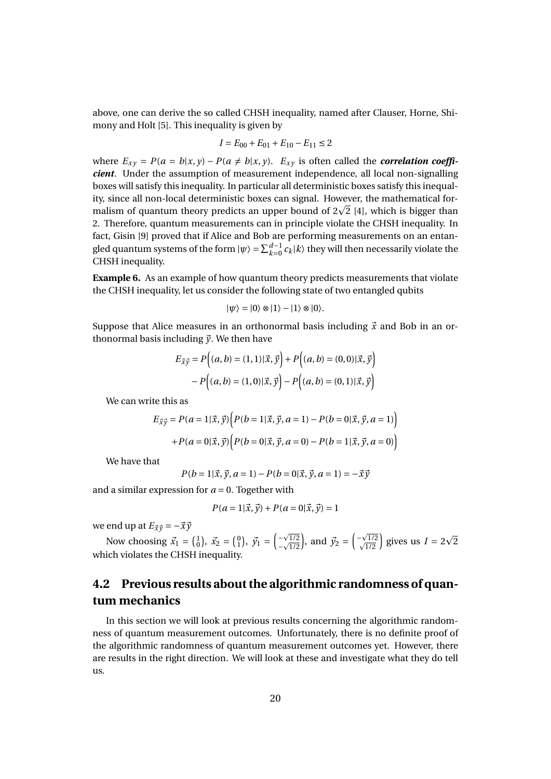above, one can derive the so called CHSH inequality, named after Clauser, Horne, Shimony and Holt [5]. This inequality is given by

$$
I = E_{00} + E_{01} + E_{10} - E_{11} \le 2
$$

where  $E_{xy} = P(a = b|x, y) - P(a \neq b|x, y)$ .  $E_{xy}$  is often called the *correlation coefficient*. Under the assumption of measurement independence, all local non-signalling boxes will satisfy this inequality. In particular all deterministic boxes satisfy this inequality, since all non-local deterministic boxes can signal. However, the mathematical fority, since all non-local deterministic boxes can signal. However, the mathematical for-<br>malism of quantum theory predicts an upper bound of 2 $\sqrt{2}$  [4], which is bigger than 2. Therefore, quantum measurements can in principle violate the CHSH inequality. In fact, Gisin [9] proved that if Alice and Bob are performing measurements on an entangled quantum systems of the form  $|\psi\rangle = \sum_{k=0}^{d-1} c_k |k\rangle$  they will then necessarily violate the CHSH inequality.

**Example 6.** As an example of how quantum theory predicts measurements that violate the CHSH inequality, let us consider the following state of two entangled qubits

$$
|\psi\rangle=|0\rangle\otimes|1\rangle-|1\rangle\otimes|0\rangle.
$$

Suppose that Alice measures in an orthonormal basis including  $\vec{x}$  and Bob in an orthonormal basis including  $\vec{y}$ . We then have

$$
E_{\vec{x}\vec{y}} = P\Big((a, b) = (1, 1)|\vec{x}, \vec{y}\Big) + P\Big((a, b) = (0, 0)|\vec{x}, \vec{y}\Big) - P\Big((a, b) = (1, 0)|\vec{x}, \vec{y}\Big) - P\Big((a, b) = (0, 1)|\vec{x}, \vec{y}\Big)
$$

We can write this as

$$
E_{\vec{x}\vec{y}} = P(a=1|\vec{x}, \vec{y}) \Big( P(b=1|\vec{x}, \vec{y}, a=1) - P(b=0|\vec{x}, \vec{y}, a=1) \Big) + P(a=0|\vec{x}, \vec{y}) \Big( P(b=0|\vec{x}, \vec{y}, a=0) - P(b=1|\vec{x}, \vec{y}, a=0) \Big)
$$

We have that

$$
P(b=1|\vec{x}, \vec{y}, a=1) - P(b=0|\vec{x}, \vec{y}, a=1) = -\vec{x}\vec{y}
$$

and a similar expression for  $a = 0$ . Together with

$$
P(a = 1|\vec{x}, \vec{y}) + P(a = 0|\vec{x}, \vec{y}) = 1
$$

we end up at  $E_{\vec{x}\vec{y}} = -\vec{x}\vec{y}$ 

Now choosing  $\vec{x}_1 = \begin{pmatrix} 1 \\ 0 \end{pmatrix}$ ,  $\vec{x}_2 = \begin{pmatrix} 0 \\ 1 \end{pmatrix}$ ,  $\vec{y}_1 = \begin{pmatrix} -\sqrt{3} \\ -\sqrt{3} \end{pmatrix}$  $\left(\frac{-\sqrt{1/2}}{-\sqrt{1/2}}\right)$ , and  $\vec{y}_2 = \left(\frac{-\sqrt{1/2}}{\sqrt{1/2}}\right)$  $\left(\frac{\sqrt{1/2}}{\sqrt{1/2}}\right)$  gives us  $I = 2$ 2 which violates the CHSH inequality.

### **4.2 Previous results about the algorithmic randomness of quantum mechanics**

In this section we will look at previous results concerning the algorithmic randomness of quantum measurement outcomes. Unfortunately, there is no definite proof of the algorithmic randomness of quantum measurement outcomes yet. However, there are results in the right direction. We will look at these and investigate what they do tell us.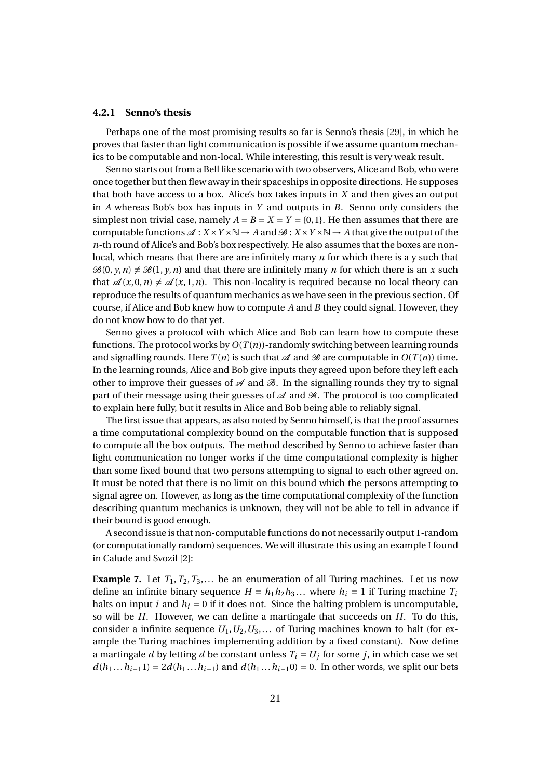#### **4.2.1 Senno's thesis**

Perhaps one of the most promising results so far is Senno's thesis [29], in which he proves that faster than light communication is possible if we assume quantum mechanics to be computable and non-local. While interesting, this result is very weak result.

Senno starts out from a Bell like scenario with two observers, Alice and Bob, who were once together but then flew away in their spaceships in opposite directions. He supposes that both have access to a box. Alice's box takes inputs in *X* and then gives an output in *A* whereas Bob's box has inputs in *Y* and outputs in *B*. Senno only considers the simplest non trivial case, namely  $A = B = X = Y = \{0, 1\}$ . He then assumes that there are computable functions  $\mathscr{A}: X \times Y \times \mathbb{N} \to A$  and  $\mathscr{B}: X \times Y \times \mathbb{N} \to A$  that give the output of the *n*-th round of Alice's and Bob's box respectively. He also assumes that the boxes are nonlocal, which means that there are are infinitely many *n* for which there is a y such that  $\mathcal{B}(0, y, n) \neq \mathcal{B}(1, y, n)$  and that there are infinitely many *n* for which there is an *x* such that  $\mathscr{A}(x, 0, n) \neq \mathscr{A}(x, 1, n)$ . This non-locality is required because no local theory can reproduce the results of quantum mechanics as we have seen in the previous section. Of course, if Alice and Bob knew how to compute *A* and *B* they could signal. However, they do not know how to do that yet.

Senno gives a protocol with which Alice and Bob can learn how to compute these functions. The protocol works by  $O(T(n))$ -randomly switching between learning rounds and signalling rounds. Here  $T(n)$  is such that  $\mathscr A$  and  $\mathscr B$  are computable in  $O(T(n))$  time. In the learning rounds, Alice and Bob give inputs they agreed upon before they left each other to improve their guesses of  $\mathscr A$  and  $\mathscr B$ . In the signalling rounds they try to signal part of their message using their guesses of  $\mathscr A$  and  $\mathscr B$ . The protocol is too complicated to explain here fully, but it results in Alice and Bob being able to reliably signal.

The first issue that appears, as also noted by Senno himself, is that the proof assumes a time computational complexity bound on the computable function that is supposed to compute all the box outputs. The method described by Senno to achieve faster than light communication no longer works if the time computational complexity is higher than some fixed bound that two persons attempting to signal to each other agreed on. It must be noted that there is no limit on this bound which the persons attempting to signal agree on. However, as long as the time computational complexity of the function describing quantum mechanics is unknown, they will not be able to tell in advance if their bound is good enough.

A second issue is that non-computable functions do not necessarily output 1-random (or computationally random) sequences. We will illustrate this using an example I found in Calude and Svozil [2]:

**Example 7.** Let  $T_1, T_2, T_3, \ldots$  be an enumeration of all Turing machines. Let us now define an infinite binary sequence  $H = h_1 h_2 h_3 ...$  where  $h_i = 1$  if Turing machine  $T_i$ halts on input *i* and  $h_i = 0$  if it does not. Since the halting problem is uncomputable, so will be *H*. However, we can define a martingale that succeeds on *H*. To do this, consider a infinite sequence  $U_1, U_2, U_3, \ldots$  of Turing machines known to halt (for example the Turing machines implementing addition by a fixed constant). Now define a martingale *d* by letting *d* be constant unless  $T_i = U_j$  for some *j*, in which case we set *d*(*h*<sub>1</sub>...*h*<sub>*i*</sub>−1) = 2*d*(*h*<sub>1</sub>...*h*<sub>*i*</sub>−1) and *d*(*h*<sub>1</sub>...*h*<sub>*i*</sub>−10) = 0. In other words, we split our bets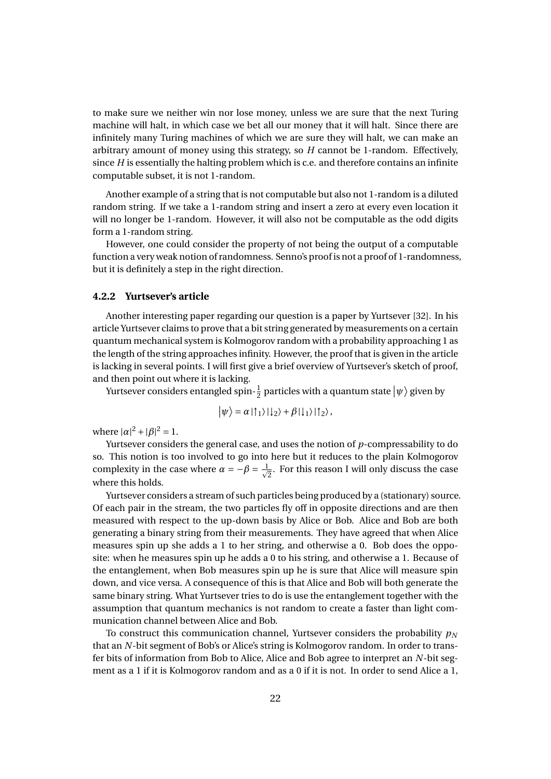to make sure we neither win nor lose money, unless we are sure that the next Turing machine will halt, in which case we bet all our money that it will halt. Since there are infinitely many Turing machines of which we are sure they will halt, we can make an arbitrary amount of money using this strategy, so *H* cannot be 1-random. Effectively, since *H* is essentially the halting problem which is c.e. and therefore contains an infinite computable subset, it is not 1-random.

Another example of a string that is not computable but also not 1-random is a diluted random string. If we take a 1-random string and insert a zero at every even location it will no longer be 1-random. However, it will also not be computable as the odd digits form a 1-random string.

However, one could consider the property of not being the output of a computable function a very weak notion of randomness. Senno's proof is not a proof of 1-randomness, but it is definitely a step in the right direction.

#### **4.2.2 Yurtsever's article**

Another interesting paper regarding our question is a paper by Yurtsever [32]. In his article Yurtsever claims to prove that a bit string generated by measurements on a certain quantum mechanical system is Kolmogorov random with a probability approaching 1 as the length of the string approaches infinity. However, the proof that is given in the article is lacking in several points. I will first give a brief overview of Yurtsever's sketch of proof, and then point out where it is lacking.

Yurtsever considers entangled spin- $\frac{1}{2}$  particles with a quantum state  $\ket{\psi}$  given by

$$
|\psi\rangle = \alpha |\uparrow_1\rangle |\downarrow_2\rangle + \beta |\downarrow_1\rangle |\uparrow_2\rangle,
$$

where  $|\alpha|^2 + |\beta|^2 = 1$ .

Yurtsever considers the general case, and uses the notion of *p*-compressability to do so. This notion is too involved to go into here but it reduces to the plain Kolmogorov complexity in the case where  $\alpha = -\beta = \frac{1}{\sqrt{2}}$  $\frac{1}{2}$ . For this reason I will only discuss the case where this holds.

Yurtsever considers a stream of such particles being produced by a (stationary) source. Of each pair in the stream, the two particles fly off in opposite directions and are then measured with respect to the up-down basis by Alice or Bob. Alice and Bob are both generating a binary string from their measurements. They have agreed that when Alice measures spin up she adds a 1 to her string, and otherwise a 0. Bob does the opposite: when he measures spin up he adds a 0 to his string, and otherwise a 1. Because of the entanglement, when Bob measures spin up he is sure that Alice will measure spin down, and vice versa. A consequence of this is that Alice and Bob will both generate the same binary string. What Yurtsever tries to do is use the entanglement together with the assumption that quantum mechanics is not random to create a faster than light communication channel between Alice and Bob.

To construct this communication channel, Yurtsever considers the probability  $p_N$ that an *N*-bit segment of Bob's or Alice's string is Kolmogorov random. In order to transfer bits of information from Bob to Alice, Alice and Bob agree to interpret an *N*-bit segment as a 1 if it is Kolmogorov random and as a 0 if it is not. In order to send Alice a 1,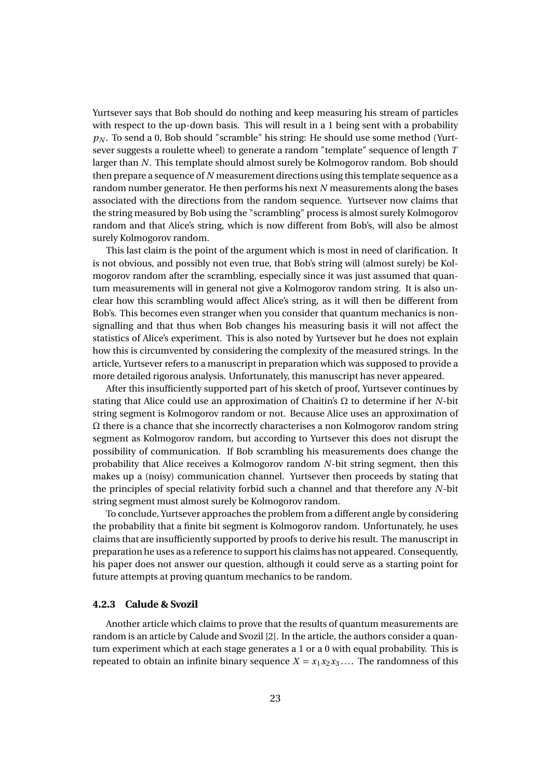Yurtsever says that Bob should do nothing and keep measuring his stream of particles with respect to the up-down basis. This will result in a 1 being sent with a probability *p<sup>N</sup>* . To send a 0, Bob should "scramble" his string: He should use some method (Yurtsever suggests a roulette wheel) to generate a random "template" sequence of length *T* larger than *N*. This template should almost surely be Kolmogorov random. Bob should then prepare a sequence of *N* measurement directions using this template sequence as a random number generator. He then performs his next *N* measurements along the bases associated with the directions from the random sequence. Yurtsever now claims that the string measured by Bob using the "scrambling" process is almost surely Kolmogorov random and that Alice's string, which is now different from Bob's, will also be almost surely Kolmogorov random.

This last claim is the point of the argument which is most in need of clarification. It is not obvious, and possibly not even true, that Bob's string will (almost surely) be Kolmogorov random after the scrambling, especially since it was just assumed that quantum measurements will in general not give a Kolmogorov random string. It is also unclear how this scrambling would affect Alice's string, as it will then be different from Bob's. This becomes even stranger when you consider that quantum mechanics is nonsignalling and that thus when Bob changes his measuring basis it will not affect the statistics of Alice's experiment. This is also noted by Yurtsever but he does not explain how this is circumvented by considering the complexity of the measured strings. In the article, Yurtsever refers to a manuscript in preparation which was supposed to provide a more detailed rigorous analysis. Unfortunately, this manuscript has never appeared.

After this insufficiently supported part of his sketch of proof, Yurtsever continues by stating that Alice could use an approximation of Chaitin's Ω to determine if her *N*-bit string segment is Kolmogorov random or not. Because Alice uses an approximation of Ω there is a chance that she incorrectly characterises a non Kolmogorov random string segment as Kolmogorov random, but according to Yurtsever this does not disrupt the possibility of communication. If Bob scrambling his measurements does change the probability that Alice receives a Kolmogorov random *N*-bit string segment, then this makes up a (noisy) communication channel. Yurtsever then proceeds by stating that the principles of special relativity forbid such a channel and that therefore any *N*-bit string segment must almost surely be Kolmogorov random.

To conclude, Yurtsever approaches the problem from a different angle by considering the probability that a finite bit segment is Kolmogorov random. Unfortunately, he uses claims that are insufficiently supported by proofs to derive his result. The manuscript in preparation he uses as a reference to support his claims has not appeared. Consequently, his paper does not answer our question, although it could serve as a starting point for future attempts at proving quantum mechanics to be random.

#### **4.2.3 Calude & Svozil**

Another article which claims to prove that the results of quantum measurements are random is an article by Calude and Svozil [2]. In the article, the authors consider a quantum experiment which at each stage generates a 1 or a 0 with equal probability. This is repeated to obtain an infinite binary sequence  $X = x_1 x_2 x_3 \dots$  The randomness of this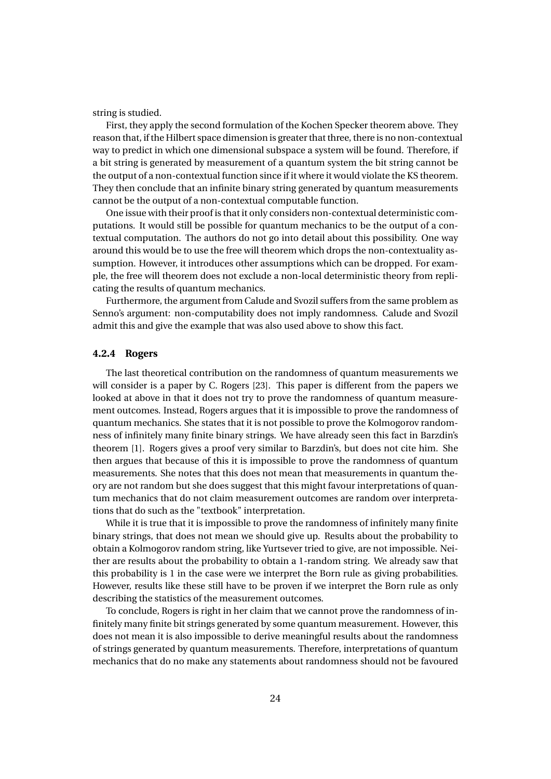string is studied.

First, they apply the second formulation of the Kochen Specker theorem above. They reason that, if the Hilbert space dimension is greater that three, there is no non-contextual way to predict in which one dimensional subspace a system will be found. Therefore, if a bit string is generated by measurement of a quantum system the bit string cannot be the output of a non-contextual function since if it where it would violate the KS theorem. They then conclude that an infinite binary string generated by quantum measurements cannot be the output of a non-contextual computable function.

One issue with their proof is that it only considers non-contextual deterministic computations. It would still be possible for quantum mechanics to be the output of a contextual computation. The authors do not go into detail about this possibility. One way around this would be to use the free will theorem which drops the non-contextuality assumption. However, it introduces other assumptions which can be dropped. For example, the free will theorem does not exclude a non-local deterministic theory from replicating the results of quantum mechanics.

Furthermore, the argument from Calude and Svozil suffers from the same problem as Senno's argument: non-computability does not imply randomness. Calude and Svozil admit this and give the example that was also used above to show this fact.

#### **4.2.4 Rogers**

The last theoretical contribution on the randomness of quantum measurements we will consider is a paper by C. Rogers [23]. This paper is different from the papers we looked at above in that it does not try to prove the randomness of quantum measurement outcomes. Instead, Rogers argues that it is impossible to prove the randomness of quantum mechanics. She states that it is not possible to prove the Kolmogorov randomness of infinitely many finite binary strings. We have already seen this fact in Barzdin's theorem [1]. Rogers gives a proof very similar to Barzdin's, but does not cite him. She then argues that because of this it is impossible to prove the randomness of quantum measurements. She notes that this does not mean that measurements in quantum theory are not random but she does suggest that this might favour interpretations of quantum mechanics that do not claim measurement outcomes are random over interpretations that do such as the "textbook" interpretation.

While it is true that it is impossible to prove the randomness of infinitely many finite binary strings, that does not mean we should give up. Results about the probability to obtain a Kolmogorov random string, like Yurtsever tried to give, are not impossible. Neither are results about the probability to obtain a 1-random string. We already saw that this probability is 1 in the case were we interpret the Born rule as giving probabilities. However, results like these still have to be proven if we interpret the Born rule as only describing the statistics of the measurement outcomes.

To conclude, Rogers is right in her claim that we cannot prove the randomness of infinitely many finite bit strings generated by some quantum measurement. However, this does not mean it is also impossible to derive meaningful results about the randomness of strings generated by quantum measurements. Therefore, interpretations of quantum mechanics that do no make any statements about randomness should not be favoured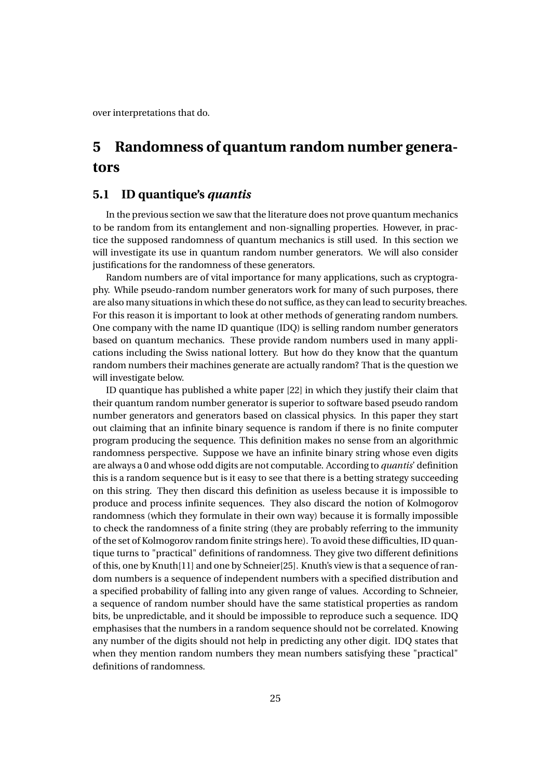over interpretations that do.

## **5 Randomness of quantum random number generators**

#### **5.1 ID quantique's** *quantis*

In the previous section we saw that the literature does not prove quantum mechanics to be random from its entanglement and non-signalling properties. However, in practice the supposed randomness of quantum mechanics is still used. In this section we will investigate its use in quantum random number generators. We will also consider justifications for the randomness of these generators.

Random numbers are of vital importance for many applications, such as cryptography. While pseudo-random number generators work for many of such purposes, there are also many situations in which these do not suffice, as they can lead to security breaches. For this reason it is important to look at other methods of generating random numbers. One company with the name ID quantique (IDQ) is selling random number generators based on quantum mechanics. These provide random numbers used in many applications including the Swiss national lottery. But how do they know that the quantum random numbers their machines generate are actually random? That is the question we will investigate below.

ID quantique has published a white paper [22] in which they justify their claim that their quantum random number generator is superior to software based pseudo random number generators and generators based on classical physics. In this paper they start out claiming that an infinite binary sequence is random if there is no finite computer program producing the sequence. This definition makes no sense from an algorithmic randomness perspective. Suppose we have an infinite binary string whose even digits are always a 0 and whose odd digits are not computable. According to *quantis*' definition this is a random sequence but is it easy to see that there is a betting strategy succeeding on this string. They then discard this definition as useless because it is impossible to produce and process infinite sequences. They also discard the notion of Kolmogorov randomness (which they formulate in their own way) because it is formally impossible to check the randomness of a finite string (they are probably referring to the immunity of the set of Kolmogorov random finite strings here). To avoid these difficulties, ID quantique turns to "practical" definitions of randomness. They give two different definitions of this, one by Knuth[11] and one by Schneier[25]. Knuth's view is that a sequence of random numbers is a sequence of independent numbers with a specified distribution and a specified probability of falling into any given range of values. According to Schneier, a sequence of random number should have the same statistical properties as random bits, be unpredictable, and it should be impossible to reproduce such a sequence. IDQ emphasises that the numbers in a random sequence should not be correlated. Knowing any number of the digits should not help in predicting any other digit. IDQ states that when they mention random numbers they mean numbers satisfying these "practical" definitions of randomness.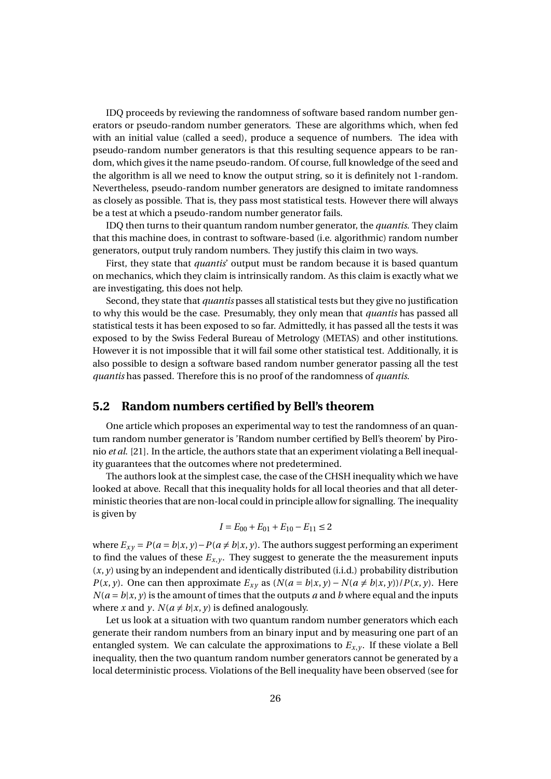IDQ proceeds by reviewing the randomness of software based random number generators or pseudo-random number generators. These are algorithms which, when fed with an initial value (called a seed), produce a sequence of numbers. The idea with pseudo-random number generators is that this resulting sequence appears to be random, which gives it the name pseudo-random. Of course, full knowledge of the seed and the algorithm is all we need to know the output string, so it is definitely not 1-random. Nevertheless, pseudo-random number generators are designed to imitate randomness as closely as possible. That is, they pass most statistical tests. However there will always be a test at which a pseudo-random number generator fails.

IDQ then turns to their quantum random number generator, the *quantis*. They claim that this machine does, in contrast to software-based (i.e. algorithmic) random number generators, output truly random numbers. They justify this claim in two ways.

First, they state that *quantis*' output must be random because it is based quantum on mechanics, which they claim is intrinsically random. As this claim is exactly what we are investigating, this does not help.

Second, they state that *quantis* passes all statistical tests but they give no justification to why this would be the case. Presumably, they only mean that *quantis* has passed all statistical tests it has been exposed to so far. Admittedly, it has passed all the tests it was exposed to by the Swiss Federal Bureau of Metrology (METAS) and other institutions. However it is not impossible that it will fail some other statistical test. Additionally, it is also possible to design a software based random number generator passing all the test *quantis* has passed. Therefore this is no proof of the randomness of *quantis*.

#### **5.2 Random numbers certified by Bell's theorem**

One article which proposes an experimental way to test the randomness of an quantum random number generator is 'Random number certified by Bell's theorem' by Pironio *et al*. [21]. In the article, the authors state that an experiment violating a Bell inequality guarantees that the outcomes where not predetermined.

The authors look at the simplest case, the case of the CHSH inequality which we have looked at above. Recall that this inequality holds for all local theories and that all deterministic theories that are non-local could in principle allow for signalling. The inequality is given by

$$
I = E_{00} + E_{01} + E_{10} - E_{11} \le 2
$$

where  $E_{xy} = P(a = b|x, y) - P(a \neq b|x, y)$ . The authors suggest performing an experiment to find the values of these  $E_{x,y}$ . They suggest to generate the the measurement inputs (*x*, *y*) using by an independent and identically distributed (i.i.d.) probability distribution *P*(*x*, *y*). One can then approximate  $E_{xy}$  as  $(N(a = b|x, y) - N(a \neq b|x, y))/P(x, y)$ . Here  $N(a = b | x, y)$  is the amount of times that the outputs *a* and *b* where equal and the inputs where *x* and *y*.  $N(a \neq b | x, y)$  is defined analogously.

Let us look at a situation with two quantum random number generators which each generate their random numbers from an binary input and by measuring one part of an entangled system. We can calculate the approximations to  $E_{x,y}$ . If these violate a Bell inequality, then the two quantum random number generators cannot be generated by a local deterministic process. Violations of the Bell inequality have been observed (see for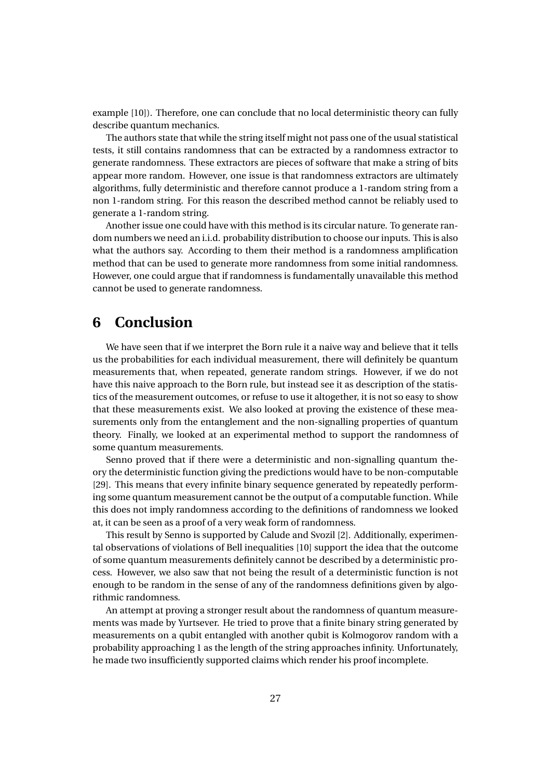example [10]). Therefore, one can conclude that no local deterministic theory can fully describe quantum mechanics.

The authors state that while the string itself might not pass one of the usual statistical tests, it still contains randomness that can be extracted by a randomness extractor to generate randomness. These extractors are pieces of software that make a string of bits appear more random. However, one issue is that randomness extractors are ultimately algorithms, fully deterministic and therefore cannot produce a 1-random string from a non 1-random string. For this reason the described method cannot be reliably used to generate a 1-random string.

Another issue one could have with this method is its circular nature. To generate random numbers we need an i.i.d. probability distribution to choose our inputs. This is also what the authors say. According to them their method is a randomness amplification method that can be used to generate more randomness from some initial randomness. However, one could argue that if randomness is fundamentally unavailable this method cannot be used to generate randomness.

## **6 Conclusion**

We have seen that if we interpret the Born rule it a naive way and believe that it tells us the probabilities for each individual measurement, there will definitely be quantum measurements that, when repeated, generate random strings. However, if we do not have this naive approach to the Born rule, but instead see it as description of the statistics of the measurement outcomes, or refuse to use it altogether, it is not so easy to show that these measurements exist. We also looked at proving the existence of these measurements only from the entanglement and the non-signalling properties of quantum theory. Finally, we looked at an experimental method to support the randomness of some quantum measurements.

Senno proved that if there were a deterministic and non-signalling quantum theory the deterministic function giving the predictions would have to be non-computable [29]. This means that every infinite binary sequence generated by repeatedly performing some quantum measurement cannot be the output of a computable function. While this does not imply randomness according to the definitions of randomness we looked at, it can be seen as a proof of a very weak form of randomness.

This result by Senno is supported by Calude and Svozil [2]. Additionally, experimental observations of violations of Bell inequalities [10] support the idea that the outcome of some quantum measurements definitely cannot be described by a deterministic process. However, we also saw that not being the result of a deterministic function is not enough to be random in the sense of any of the randomness definitions given by algorithmic randomness.

An attempt at proving a stronger result about the randomness of quantum measurements was made by Yurtsever. He tried to prove that a finite binary string generated by measurements on a qubit entangled with another qubit is Kolmogorov random with a probability approaching 1 as the length of the string approaches infinity. Unfortunately, he made two insufficiently supported claims which render his proof incomplete.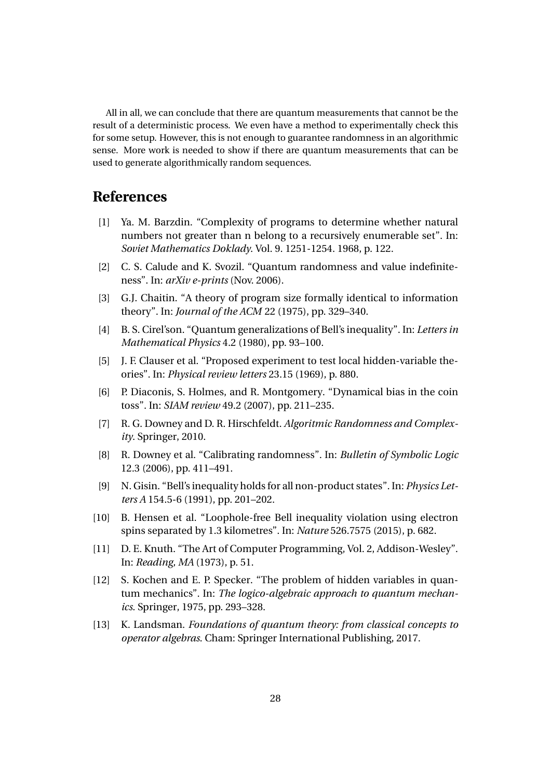All in all, we can conclude that there are quantum measurements that cannot be the result of a deterministic process. We even have a method to experimentally check this for some setup. However, this is not enough to guarantee randomness in an algorithmic sense. More work is needed to show if there are quantum measurements that can be used to generate algorithmically random sequences.

### **References**

- [1] Ya. M. Barzdin. "Complexity of programs to determine whether natural numbers not greater than n belong to a recursively enumerable set". In: *Soviet Mathematics Doklady*. Vol. 9. 1251-1254. 1968, p. 122.
- [2] C. S. Calude and K. Svozil. "Quantum randomness and value indefiniteness". In: *arXiv e-prints* (Nov. 2006).
- [3] G.J. Chaitin. "A theory of program size formally identical to information theory". In: *Journal of the ACM* 22 (1975), pp. 329–340.
- [4] B. S. Cirel'son. "Quantum generalizations of Bell's inequality". In: *Letters in Mathematical Physics* 4.2 (1980), pp. 93–100.
- [5] J. F. Clauser et al. "Proposed experiment to test local hidden-variable theories". In: *Physical review letters* 23.15 (1969), p. 880.
- [6] P. Diaconis, S. Holmes, and R. Montgomery. "Dynamical bias in the coin toss". In: *SIAM review* 49.2 (2007), pp. 211–235.
- [7] R. G. Downey and D. R. Hirschfeldt. *Algoritmic Randomness and Complexity*. Springer, 2010.
- [8] R. Downey et al. "Calibrating randomness". In: *Bulletin of Symbolic Logic* 12.3 (2006), pp. 411–491.
- [9] N. Gisin. "Bell's inequality holds for all non-product states". In: *Physics Letters A* 154.5-6 (1991), pp. 201–202.
- [10] B. Hensen et al. "Loophole-free Bell inequality violation using electron spins separated by 1.3 kilometres". In: *Nature* 526.7575 (2015), p. 682.
- [11] D. E. Knuth. "The Art of Computer Programming, Vol. 2, Addison-Wesley". In: *Reading, MA* (1973), p. 51.
- [12] S. Kochen and E. P. Specker. "The problem of hidden variables in quantum mechanics". In: *The logico-algebraic approach to quantum mechanics*. Springer, 1975, pp. 293–328.
- [13] K. Landsman. *Foundations of quantum theory: from classical concepts to operator algebras*. Cham: Springer International Publishing, 2017.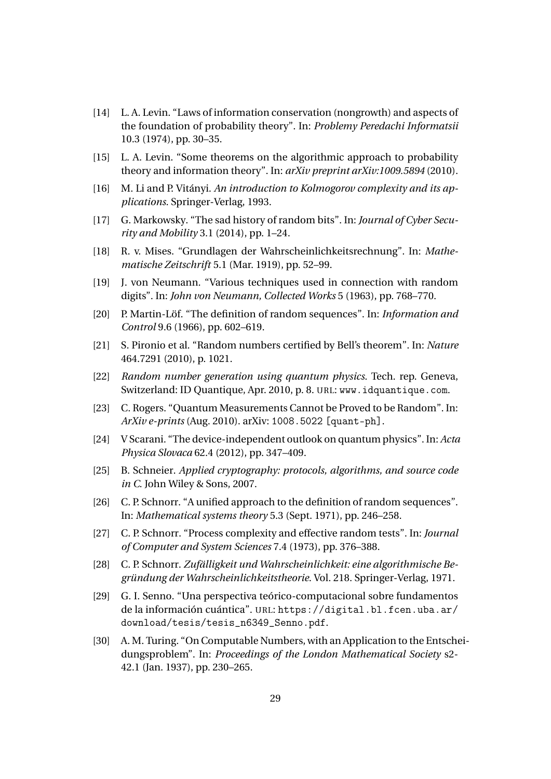- [14] L. A. Levin. "Laws of information conservation (nongrowth) and aspects of the foundation of probability theory". In: *Problemy Peredachi Informatsii* 10.3 (1974), pp. 30–35.
- [15] L. A. Levin. "Some theorems on the algorithmic approach to probability theory and information theory". In: *arXiv preprint arXiv:1009.5894* (2010).
- [16] M. Li and P. Vitányi. *An introduction to Kolmogorov complexity and its applications*. Springer-Verlag, 1993.
- [17] G. Markowsky. "The sad history of random bits". In: *Journal of Cyber Security and Mobility* 3.1 (2014), pp. 1–24.
- [18] R. v. Mises. "Grundlagen der Wahrscheinlichkeitsrechnung". In: *Mathematische Zeitschrift* 5.1 (Mar. 1919), pp. 52–99.
- [19] J. von Neumann. "Various techniques used in connection with random digits". In: *John von Neumann, Collected Works* 5 (1963), pp. 768–770.
- [20] P. Martin-Löf. "The definition of random sequences". In: *Information and Control* 9.6 (1966), pp. 602–619.
- [21] S. Pironio et al. "Random numbers certified by Bell's theorem". In: *Nature* 464.7291 (2010), p. 1021.
- [22] *Random number generation using quantum physics*. Tech. rep. Geneva, Switzerland: ID Quantique, Apr. 2010, p. 8. URL: www.idquantique.com.
- [23] C. Rogers. "Quantum Measurements Cannot be Proved to be Random". In: *ArXiv e-prints* (Aug. 2010). arXiv: 1008.5022 [quant-ph].
- [24] V Scarani. "The device-independent outlook on quantum physics". In: *Acta Physica Slovaca* 62.4 (2012), pp. 347–409.
- [25] B. Schneier. *Applied cryptography: protocols, algorithms, and source code in C*. John Wiley & Sons, 2007.
- [26] C. P. Schnorr. "A unified approach to the definition of random sequences". In: *Mathematical systems theory* 5.3 (Sept. 1971), pp. 246–258.
- [27] C. P. Schnorr. "Process complexity and effective random tests". In: *Journal of Computer and System Sciences* 7.4 (1973), pp. 376–388.
- [28] C. P. Schnorr. *Zufälligkeit und Wahrscheinlichkeit: eine algorithmische Begründung der Wahrscheinlichkeitstheorie*. Vol. 218. Springer-Verlag, 1971.
- [29] G. I. Senno. "Una perspectiva teórico-computacional sobre fundamentos de la información cuántica". URL: https://digital.bl.fcen.uba.ar/ download/tesis/tesis\_n6349\_Senno.pdf.
- [30] A. M. Turing. "On Computable Numbers, with an Application to the Entscheidungsproblem". In: *Proceedings of the London Mathematical Society* s2- 42.1 (Jan. 1937), pp. 230–265.